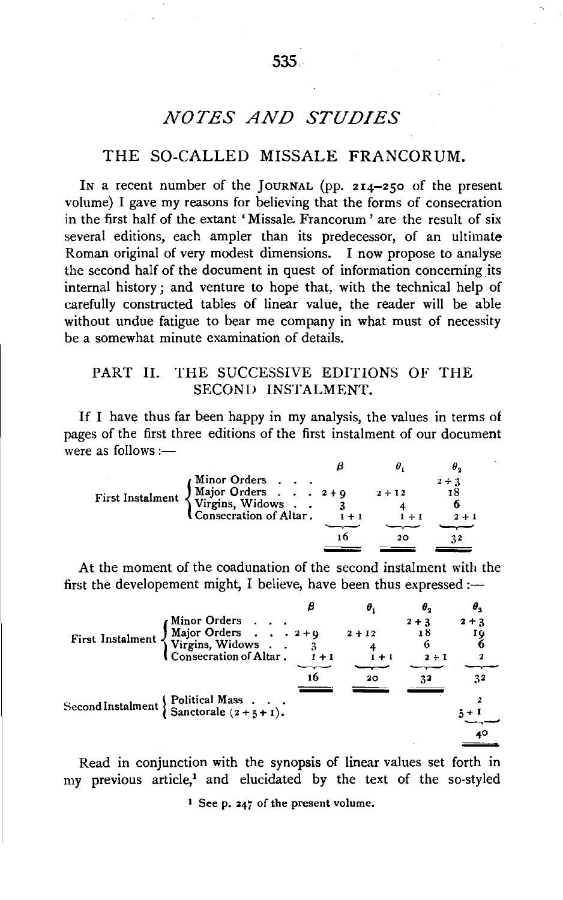# **NOTES AND STUDIES**

# THE SO-CALLED MISSALE FRANCORUM.

In a recent number of the JOURNAL (pp. 214-250 of the present volume) I gave my reasons for believing that the forms of consecration in the first half of the extant 'Missale. Francorum' are the result of six several editions, each ampler than its predecessor, of an ultimate Roman original of very modest dimensions. I now propose to analyse the second half of the document in quest of information concerning its internal history; and venture to hope that, with the technical help of carefully constructed tables of linear value, the reader will be able without undue fatigue to bear me company in what must of necessity be a somewhat minute examination of details.

# PART II. THE SUCCESSIVE EDITIONS OF THE SECOND INSTALMENT.

If I have thus far been happy in my analysis, the values in terms of pages of the first three editions of the first instalment of our document were as follows  $:=$ 

| Minor Orders<br>Major Orders 2+9                           |         | $2 + 12$ | $2 + 3$<br>18 |
|------------------------------------------------------------|---------|----------|---------------|
| First Instalment Yirgins, Widows<br>Consecration of Altar. | $1 + 1$ |          | $2 + 1$       |
|                                                            |         |          |               |
|                                                            | τh      |          |               |
|                                                            |         |          |               |

At the moment of the coadunation of the second instalment with the first the developement might, I believe, have been thus expressed :-

|                                                                                                                                                                                                                                       |               | θ,       |              | $\boldsymbol{\theta}_3$ |
|---------------------------------------------------------------------------------------------------------------------------------------------------------------------------------------------------------------------------------------|---------------|----------|--------------|-------------------------|
|                                                                                                                                                                                                                                       |               | $2 + 12$ | $2 + 3$      | $2 + 3$                 |
| First Instalment $\left\{\n\begin{array}{ccc}\n\text{Minor Orders} & \dots & \dots \\ \text{Major Orders} & \dots & 2+9 \\ \text{Virgins, Widows} & \dots & 3 \\ \text{Conservation of Altar} & \dots & \dots\n\end{array}\n\right\}$ | $\bar{1}$ + 1 | $1 + 1$  | 6<br>$2 + 1$ | 2                       |
|                                                                                                                                                                                                                                       | 16            | 20       |              | 32                      |
|                                                                                                                                                                                                                                       |               |          |              |                         |
|                                                                                                                                                                                                                                       |               |          |              | 40                      |

Read in conjunction with the synopsis of linear values set forth in my previous article.<sup>1</sup> and elucidated by the text of the so-styled

<sup>1</sup> See p. 247 of the present volume.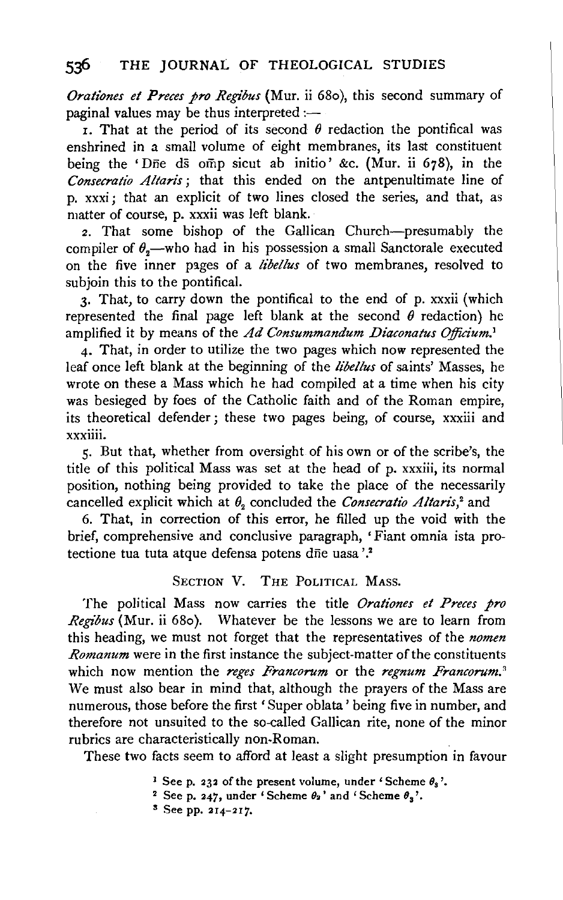# 536 THE JOURNAL OF THEOLOGICAL STUDIES

*Preces pro Regibus* (Mur. ii 680), this second summary of standing the thus interpreted :paginal values may be thus interpreted :—<br>**1.** That at the period of its second  $\theta$  redaction the pontifical was

enshrined in a small volume of eight membranes, its last constituent being the 'Die ds omp sicut ab initio' &c. (Mur. ii 678), in the *Consecratio Altaris;* that this ended on the antpenultimate line of p. xxxi ; that an explicit of two lines closed the series, and that, as matter of course, p. xxxii was left blank.

*z.* That some bishop of the Gallican Church-presumably the compiler of  $\theta$ <sub>n</sub>—who had in his possession a small Sanctorale executed on the five inner pages of a *libellus* of two membranes, resolved to subjoin this to the pontifical.

3· That, to carry down the pontifical to the end of p. xxxii (which 3. That, to carry down the pointmear to the end of p. xxxn (which presented the final page left blank at the second  $\theta$  reduction) he amplified it by means of the  $Ad Consummandum Diaconatus Officium.<sup>1</sup>$ <br>4. That, in order to utilize the two pages which now represented the

leaf once left blank at the beginning of the *li'bettus* of saints' Masses, he where the basis which he had compiled at a time when he had compiled at a time when his city of the had compiled at a time when his city of the had compiled at a time when his city of the had compiled at the holid compiled where  $\alpha$  mass which he had complied at a time when ms city was besieged by foes of the Catholic faith and of the Roman empire, its theoretical defender; these two pages being, of course, xxxiii and xxxiiii.

5· But that, whether from oversight of his own or of the scribe's, the title of this political Mass was set at the head of p. xxxiii, its normal position, nothing being provided to take the place of the necessarily cancelled explicit which at  $\theta$ <sub>2</sub> concluded the *Consecratio Altaris*,<sup>2</sup> and

6. That, in correction of this error, he filled up the void with the brief, comprehensive and conclusive paragraph, 'Fiant omnia ista protectione tua tuta atque defensa potens dñe uasa'.<sup>2</sup>

## SECTION V. THE POLITICAL MASS.

The political Mass now carries the title *Orationes et Preces pro Regibus* (Mur. ii 68o). Whatever be the lessons we are to learn from this heading, we must not forget that the representatives of the *nomen Romanum* were in the first instance the subject-matter of the constituents which were the first historic the subject-matter of the constituents  $W$  must also be also bear in mind that, also begins are proportional that, also are  $W$  the mass are  $W$ We must also bear in mind that, although the prayers of the Mass are numerous, those before the first 'Super oblata' being five in number, and therefore not unsuited to the so-called Gallican rite, none of the minor rubrics are characteristically non-Roman.

These two facts seem to afford at least a slight presumption in favour

1 Seep. 232 of the present volume, under' Scheme *88* '· bee p. 232 of the present volume, under 'Scheme  $\theta_3$ <sup>'</sup>

<sup>2</sup> See p. 247, under 'Scheme  $\theta_2$ ' and 'Scheme  $\theta_3$ '.<br><sup>3</sup> See pp. 214–217.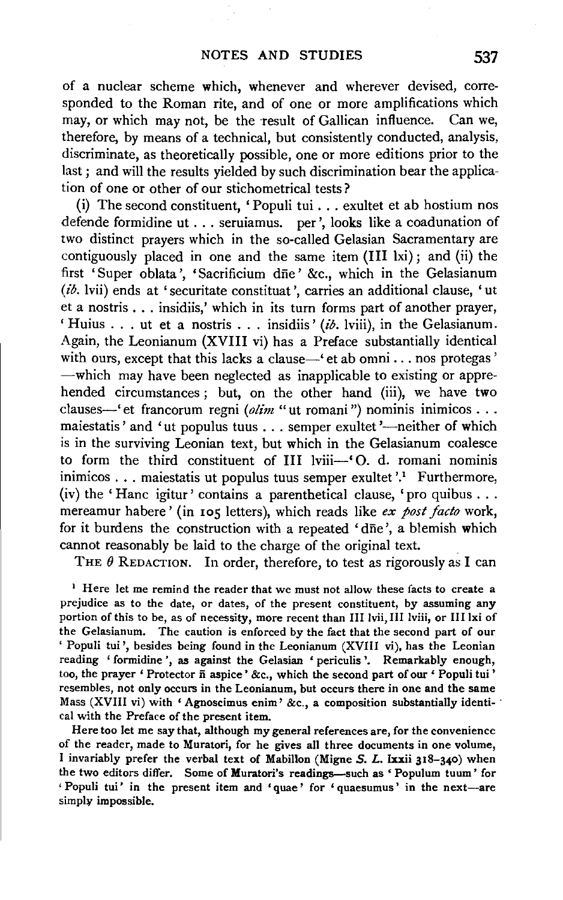of a nuclear scheme which, whenever and wherever devised, corresponded to the Roman rite, and of one or more amplifications which may, or which may not, be the result of Gallican influence. Can we, therefore, by means of a technical, but consistently conducted, analysis, discriminate, as theoretically possible, one or more editions prior to the last; and will the results yielded by such discrimination bear the application of one or other of our stichometrical tests?

(i) The second constituent, 'Populi tui ... exultet et ab hostium nos defende formidine ut ... seruiamus. per', looks like a coadunation of two distinct prayers which in the so-called Gelasian Sacramentary are contiguously placed in one and the same item  $(III \; Ixi)$ ; and  $(ii)$  the first 'Super oblata', 'Sacrificium dne' &c., which in the Gelasianum  $(i\delta$ . lvii) ends at 'securitate constituat', carries an additional clause, 'ut et a nostris ... insidiis,' which in its turn forms part of another prayer, 'Huius ... ut et a nostris ... insidiis' (ib. lviii), in the Gelasianum. Again, the Leonianum (XVIII vi) has a Preface substantially identical with ours, except that this lacks a clause-'et ab omni ... nos protegas' -which may have been neglected as inapplicable to existing or apprehended circumstances ; but, on the other hand (iii), we have two clauses-'et francorum regni *(olim* "ut romani") nominis inimicos . . . maiestatis' and 'ut populus tuus . . . semper exultet'—neither of which is in the surviving Leonian text, but which in the Gelasianum coalesce to form the third constituent of III lviii-' 0. d. romani nominis inimicos  $\ldots$  maiestatis ut populus tuus semper exultet '.<sup>1</sup> Furthermore, (iv) the 'Hanc igitur' contains a parenthetical clause, 'pro quibus ... mereamur habere' (in 105 letters), which reads like *ex post facto* work, for it burdens the construction with a repeated 'dfie ', a blemish which cannot reasonably be laid to the charge of the original text.

THE  $\theta$  REDACTION. In order, therefore, to test as rigorously as I can

<sup>1</sup> Here let me remind the reader that we must not allow these facts to create a prejudice as to the date, or dates, of the present constituent, by assuming any portion of this to be, as of necessity, more recent than III lvii, III lviii, or III lxi of the Gelasianum. The caution is enforced by the fact that the second part of our ' Populi tui ', besides being found in the Leonianum (XVIII vi), has the Leonian reading 'formidine ', as against the Gelasian 'periculis '. Remarkably enough, too, the prayer ' Protector  $\bar{n}$  aspice' &c., which the second part of our ' Populi tui' resembles, not only occurs in the Leonianum, but occurs there in one and the same Mass (XVIII vi) with 'Agnoscimus enim' &c., a composition substantially identiea! with the Preface of the present item.

Here too let me say that, although my general references are, for the convenience of the reader, made to Muratori, for he gives all three documents in one volume, I invariably prefer the verbal text of Mabillon (Migne  $S$ . L. lxxii 318-340) when the two editors differ. Some of Muratori's readings-such as 'Populum tuum' for ' Populi tui' in the present item and 'quae' for ' quaesumus' in the next-are simply impossible.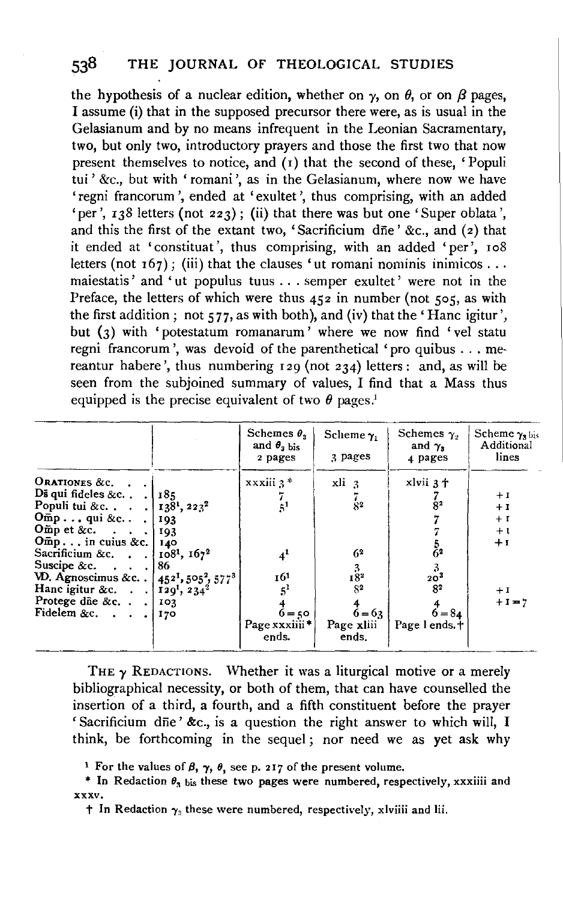the hypothesis of a nuclear edition, whether on  $\gamma$ , on  $\theta$ , or on  $\beta$  pages, I assume (i) that in the supposed precursor there were, as is usual in the Gelasianum and by no means infrequent in the Leonian Sacramentary, two, but only two, introductory prayers and those the first two that now present themselves to notice, and (1) that the second of these, 'Populi tui' &c., but with 'romani', as in the Gelasianum, where now we have 'regni francorum ', ended at 'exultet ', thus comprising, with an added 'per', 138 letters (not 223); (ii) that there was but one 'Super oblata', and this the first of the extant two, 'Sacrificium dne' &c., and  $(z)$  that it ended at 'constituat ', thus comprising, with an added 'per', ro8 letters (not  $167$ ); (iii) that the clauses 'ut romani nominis inimicos ... maiestatis' and 'ut populus tuus ... semper exultet' were not in the Preface, the letters of which were thus 452 in number (not 505, as with the first addition; not 577, as with both), and (iv) that the 'Hanc igitur', but (3) with 'potestatum romanarum' where we now find 'vel statu regni francorum', was devoid of the parenthetical 'pro quibus . . . mereantur habere', thus numbering 129 (not 234) letters: and, as will be seen from the subjoined summary of values, I find that a Mass thus equipped is the precise equivalent of two  $\theta$  pages.<sup>1</sup>

|                                                                                                                                                                                                                                                                                                                                                                                                                                                   |                   | Schemes $\theta$ ,<br>and $\theta$ <sub>2</sub> bis<br>2 pages                  | Scheme $\gamma_1$<br>3 pages                                                                | Schemes $\gamma$ ,<br>and $\gamma$ ,<br>4 pages                                                           | Scheme $\gamma_3$ bis<br>Additional<br>lines           |
|---------------------------------------------------------------------------------------------------------------------------------------------------------------------------------------------------------------------------------------------------------------------------------------------------------------------------------------------------------------------------------------------------------------------------------------------------|-------------------|---------------------------------------------------------------------------------|---------------------------------------------------------------------------------------------|-----------------------------------------------------------------------------------------------------------|--------------------------------------------------------|
| ORATIONES &c.<br>Ds qui fideles &c $\begin{bmatrix} 185 \end{bmatrix}$<br>Populi tui &c.   $138^1$ , $223^2$<br>$Omp$ qui &c<br>Offin p et &c. $\cdots$ 193<br>$Omp$ in cuius &c.  <br>Sacrificium &c. $\therefore$ 108 <sup>1</sup> , 167 <sup>2</sup><br>Suscipe &c. $\therefore$ . 86<br>VD. Agnoscimus &c. . $[45^{21}, 505^2, 577^3]$<br>Hanc igitur &c. 129 <sup>1</sup> , 234 <sup>2</sup><br>Protege die &c. $\cdot$ . 103<br>Fidelem &c. | 193<br>140<br>170 | $xxxiii3*$<br>51<br>4 <sup>1</sup><br>161<br>$6 - 50$<br>Page xxxiiii*<br>ends. | $xli_3$<br>8 <sup>2</sup><br>62<br>$18^{3}_{2}$<br>$S^2$<br>$6 = 63$<br>Page xliii<br>ends. | xlvii 3+<br>8 <sup>2</sup><br>رج<br>62<br>20 <sup>3</sup><br>8 <sup>2</sup><br>$6 = 84$<br>Page 1 ends. + | $+I$<br>$+I$<br>$+1$<br>$+1$<br>$+1$<br>$+1$<br>$+I=7$ |

THE  $\gamma$  REDACTIONS. Whether it was a liturgical motive or a merely bibliographical necessity, or both of them, that can have counselled the insertion of a third, a fourth, and a fifth constituent before the prayer 'Sacrificium dne' &c., is a question the right answer to which will, I think, be forthcoming in the sequel ; nor need we as yet ask why

<sup>&</sup>lt;sup>1</sup> For the values of  $\beta$ ,  $\gamma$ ,  $\theta$ , see p. 217 of the present volume.

<sup>\*</sup> In Redaction  $\theta_3$  bis these two pages were numbered, respectively, xxxiiii and XXXV,

 $\dagger$  In Redaction  $\gamma_3$  these were numbered, respectively, xlviiii and lii.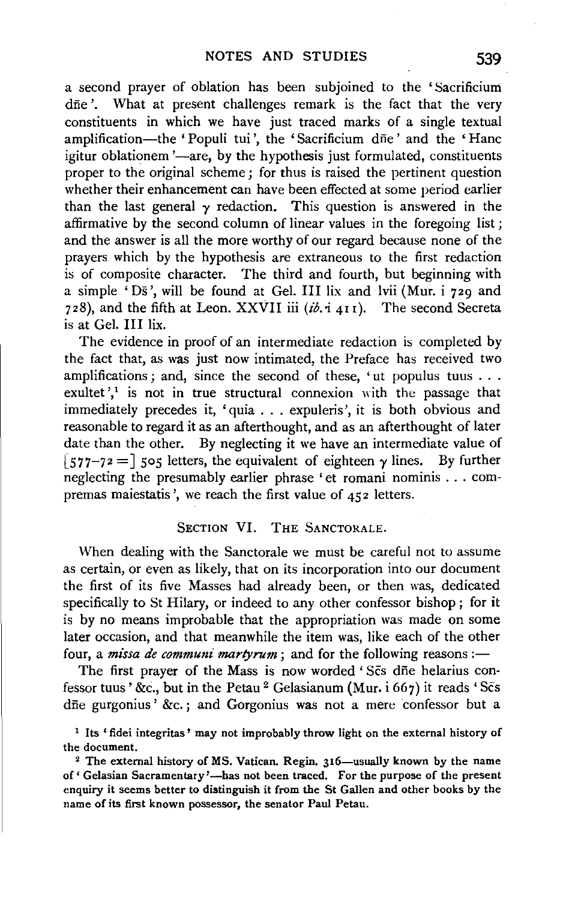a second prayer of oblation has been subjoined to the 'Sacrificium dne'. What at present challenges remark is the fact that the very constituents in which we have just traced marks of a single textual amplification-the 'Populi tui', the 'Sacrificium dne' and the 'Hanc igitur oblationem '-are, by the hypothesis just formulated, constituents proper to the original scheme; for thus is raised the pertinent question whether their enhancement can have been effected at some period earlier than the last general  $\gamma$  redaction. This question is answered in the affirmative by the second column of linear values in the foregoing list; and the answer is all the more worthy of our regard because none of the prayers which by the hypothesis are extraneous to the first redaction is of composite character. The third and fourth, but beginning with a simple 'Ds ',will be found at Gel. Ill lix and lvii (Mur. i 729 and 728), and the fifth at Leon. XXVII iii  $(i\delta, i_{411})$ . The second Secreta is at Gel. Ill lix.

The evidence in proof of an intermediate redaction is completed by the fact that, as was just now intimated, the Preface has received two amplifications; and, since the second of these, 'ut populus tuus ... exultet', $\frac{1}{x}$  is not in true structural connexion with the passage that immediately precedes it, 'quia . . . expuleris', it is both obvious and reasonable to regard it as an afterthought, and as an afterthought of later date than the other. By neglecting it we have an intermediate value of [577-72 =] 505 letters, the equivalent of eighteen  $\gamma$  lines. By further neglecting the presumably earlier phrase 'et romani nominis ... compremas maiestatis ', we reach the first value of 452 letters.

## SECTION VI. THE SANCTORALE.

When dealing with the Sanctorale we must be careful not to assume as certain, or even as likely, that on its incorporation into our document the first of its five Masses had already been, or then was, dedicated specifically to St Hilary, or indeed to any other confessor bishop ; for it is by no means improbable that the appropriation was made on some later occasion, and that meanwhile the item was, like each of the other four, a *missa de communi martyrum*; and for the following reasons :-

The first prayer of the Mass is now worded 'Scs dne helarius confessor tuus' &c., but in the Petau<sup>2</sup> Gelasianum (Mur. i 667) it reads 'Scs dfie gurgonius' &c.; and Gorgonius was not a mere confessor but a

<sup>&</sup>lt;sup>1</sup> Its 'fidei integritas' may not improbably throw light on the external history of the document.

<sup>&</sup>lt;sup>2</sup> The external history of MS. Vatican. Regin. 316-usually known by the name of' Gelasian Sacramentary'-has not been traced. For the purpose of the present enquiry it seems better to distinguish it from the St Gallen and other books by the name of its first known possessor, the senator Paul Petau.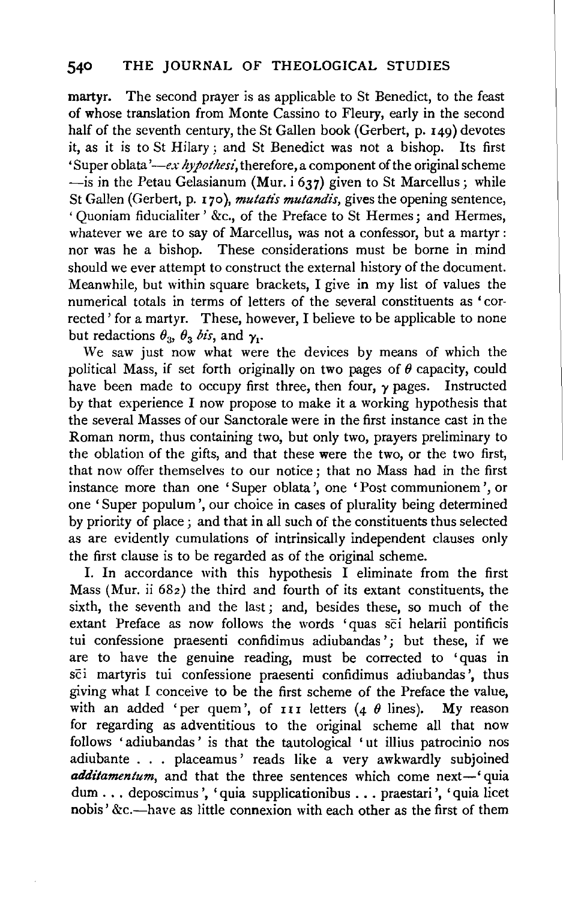martyr. The second prayer is as applicable to St Benedict, to the feast of whose translation from Monte Cassino to Fleury, early in the second half of the seventh century, the St Gallen book (Gerbert, p. 149) devotes it, as it is to St Hilary ; and St Benedict was not a bishop. Its first 'Super oblata' *-ex hypothesi,* therefore, a component of the original scheme  $-$ is in the Petau Gelasianum (Mur. i 637) given to St Marcellus; while St Gallen (Gerbert, p. 170), *mutatis mutandis*, gives the opening sentence, ' Quoniam fiducialiter ' &c., of the Preface to St Hermes; and Hermes, whatever we are to say of Marcellus, was not a confessor, but a martyr : nor was he a bishop. These considerations must be borne in mind should we ever attempt to construct the external history of the document. Meanwhile, but within square brackets, I give in my list of values the numerical totals in terms of letters of the several constituents as ' corrected' for a martyr. These, however, I believe to be applicable to none but redactions  $\theta_3$ ,  $\theta_3$  *bis*, and  $\gamma_1$ .

We saw just now what were the devices by means of which the political Mass, if set forth originally on two pages of  $\theta$  capacity, could have been made to occupy first three, then four,  $\gamma$  pages. Instructed by that experience I now propose to make it a working hypothesis that the several Masses of our Sanctorale were in the first instance cast in the Roman norm, thus containing two, but only two, prayers preliminary to the oblation of the gifts, and that these were the two, or the two first, that now offer themselves to our notice ; that no Mass had in the first instance more than one 'Super oblata', one 'Post communionem', or one 'Super populum', our choice in cases of plurality being determined by priority of place; and that in all such of the constituents thus selected as are evidently cumulations of intrinsically independent clauses only the first clause is to be regarded as of the original scheme.

I. In accordance with this hypothesis I eliminate from the first Mass (Mur. ii *68z)* the third and fourth of its extant constituents, the sixth, the seventh and the last ; and, besides these, so much of the extant Preface as now follows the words 'quas sci helarii pontificis tui confessione praesenti confidimus adiubandas '; but these, if we are to have the genuine reading, must be corrected to 'quas in sci martyris tui confessione praesenti confidimus adiubandas ', thus giving what I conceive to be the first scheme of the Preface the value, with an added 'per quem', of  $III$  letters (4  $\theta$  lines). My reason for regarding as adventitious to the original scheme all that now follows 'adiubandas' is that the tautological 'ut illius patrocinio nos adiubante . . . placeamus' reads like a very awkwardly subjoined *additamentum*, and that the three sentences which come next-' quia dum ... deposcimus ', 'quia supplicationibus ... praestari ', 'quia licet nobis' &c.-have as little connexion with each other as the first of them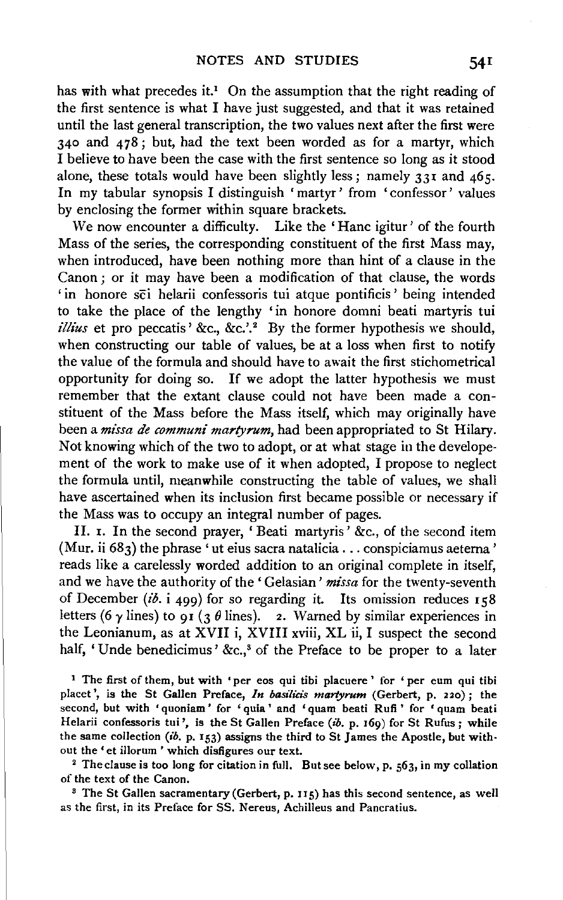has with what precedes it.<sup>1</sup> On the assumption that the right reading of the first sentence is what I have just suggested, and that it was retained until the last general transcription, the two values next after the first were 340 and 478; but, had the text been worded as for a martyr, which I believe to have been the case with the first sentence so long as it stood alone, these totals would have been slightly less; namely  $331$  and  $465$ . In my tabular synopsis I distinguish 'martyr' from 'confessor' values by enclosing the former within square brackets.

We now encounter a difficulty. Like the 'Hanc igitur' of the fourth Mass of the series, the corresponding constituent of the first Mass may, when introduced, have been nothing more than hint of a clause in the Canon ; or it may have been a modification of that clause, the words ' in honore sci helarii confessoris tui atque pontificis' being intended to take the place of the lengthy 'in honore domni beati martyris tui *illius* et pro peccatis' &c., &c.'.<sup>2</sup> By the former hypothesis we should, when constructing our table of values, be at a loss when first to notify the value of the formula and should have to await the first stichometrical opportunity for doing so. If we adopt the latter hypothesis we must remember that the extant clause could not have been made a constituent of the Mass before the Mass itself, which may originally have been a *missa de communi martyrum,* had been appropriated to St Hilary. Not knowing which of the two to adopt, or at what stage in the developement of the work to make use of it when adopted, I propose to neglect the formula until, meanwhile constructing the table of values, we shall have ascertained when its inclusion first became possible or necessary if the Mass was to occupy an integral number of pages.

II. x. In the second prayer, ' Beati martyris' &c., of the second item (Mur. ii  $683$ ) the phrase 'ut eius sacra natalicia ... conspiciamus aeterna' reads like a carelessly worded addition to an original complete in itself, and we have the authority of the 'Gelasian' *missa* for the twenty-seventh of December (ib. i 499) for so regarding it. Its omission reduces  $158$ letters (6  $\gamma$  lines) to 91 (3  $\theta$  lines). 2. Warned by similar experiences in the Leonianum, as at XVII i, XVIII xviii, XL ii, I suspect the second half, 'Unde benedicimus' &c.,<sup>8</sup> of the Preface to be proper to a later

<sup>1</sup> The first of them, but with 'per eos qui tibi placuere' for 'per eum qui tibi placet', is the St Gallen Preface, *In basilicis martyrum* (Gerbert, p. 220); the second, but with 'quoniam' for 'quia' and 'quam beati Rufi' for 'quam beati Helarii confessoris tui', is the St Gallen Preface (ib. p. 169) for St Rufus; while the same collection *(ib.* p. 153) assigns the third to St James the Apostle, but with· out the 'et illorum ' which disfigures our text.<br><sup>2</sup> The clause is too long for citation in full. But see below, p. 563, in my collation

of the text of the Canon.<br><sup>3</sup> The St Gallen sacramentary (Gerbert, p. 115) has this second sentence, as well

as the first, in its Preface for SS. Nereus, Achilleus and Pancratius.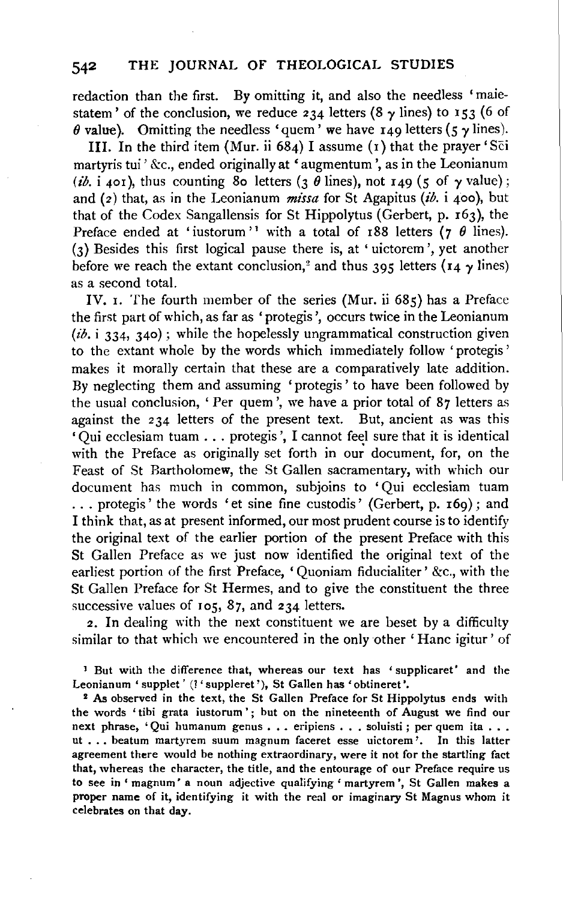# 542 THE JOURNAL OF THEOLOGICAL STUDIES

redaction than the first. By omitting it, and also the needless 'maiestatem' of the conclusion, we reduce 234 letters (8  $\gamma$  lines) to 153 (6 of  $\theta$  value). Omitting the needless 'quem' we have 149 letters (5  $\gamma$  lines).

III. In the third item (Mur. ii  $684$ ) I assume (1) that the prayer 'Sci martyris tui ' &c., ended originally at ' augmentum', as in the Leonianum (*ib.* i 401), thus counting 80 letters (3  $\theta$  lines), not 149 (5 of  $\gamma$  value); and (z) that, as in the Leonianum *missa* for St Agapitus (ib. i 4oo), but that of the Codex Sangallensis for St Hippolytus (Gerbert, p. 163), the Preface ended at 'iustorum'<sup>1</sup> with a total of r88 letters ( $7 \theta$  lines). (3) Besides this first logical pause there is, at 'uictorem ',yet another before we reach the extant conclusion,<sup>2</sup> and thus 395 letters ( $14 \gamma$  lines) as a second total.

IV. r. The fourth member of the series (Mur. ii 685) has a Preface the first part of which, as far as 'protegis ', occurs twice in the Leonianum  $(i\delta, i, 334, 340)$ ; while the hopelessly ungrammatical construction given to the extant whole by the words which immediately follow 'protegis' makes it morally certain that these are a comparatively late addition. By neglecting them and assuming 'protegis ' to have been followed by the usual conclusion, ' Per quem', we have a prior total of 87 letters as against the 234 letters of the present text. But, ancient as was this 'Qui ecclesiam tuam ... protegis ', I cannot feel sure that it is identical with the Preface as originally set forth in our document, for, on the Feast of St Bartholomew, the St Gallen sacramentary, with which our document has much in common, subjoins to 'Qui ecclesiam tuam ... protegis' the words 'et sine fine custodis' (Gerbert, p. r69); and I think that, as at present informed, our most prudent course is to identify the original text of the earlier portion of the present Preface with this St Gallen Preface as we just now identified the original text of the earliest portion of the first Preface, 'Quoniam fiducialiter' &c., with the St Gallen Preface for St Hermes, and to give the constituent the three successive values of 105, 87, and 234 letters.

2. In dealing with the next constituent we are beset by a difficulty similar to that which we encountered in the only other 'Hanc igitur' of

1 But with the difference that, whereas our text has 'supplicaret' and the Leonianum 'supplet' (! 'suppleret'), St Gallen has 'obtineret'.<br>
<sup>2</sup> As observed in the text, the St Gallen Preface for St Hippolytus ends with

the words 'tibi grata iustorum'; but on the nineteenth of August we find our next phrase, 'Qui humanum genus . . . eripiens . . . soluisti ; per quem ita . . . ut ..• beatum martyrem suum magnum faceret esse uictorem '. In this latter agreement there would be nothing extraordinary, were it not for the startling fact that, whereas the character, the title, and the entourage of our Preface require us to see in' magnum' a noun adjective qualifying' martyrem ', St Gallen makes a proper name of it, identifying it with the real or imaginary St Magnus whom it celebrates on that day.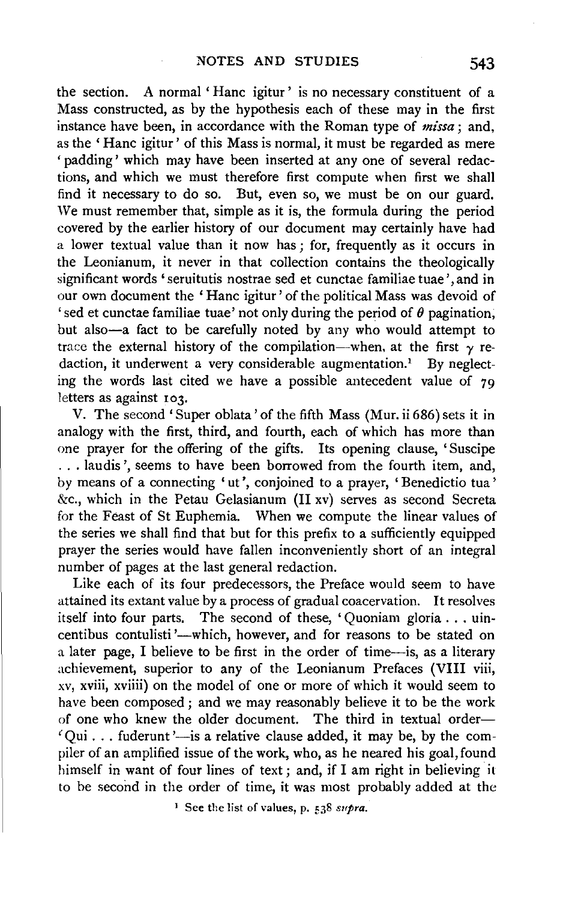the section. A normal 'Hanc igitur' is no necessary constituent of a Mass constructed, as by the hypothesis each of these may in the first instance have been, in accordance with the Roman type of  $missa$ ; and, as the ' Hanc igitur' of this Mass is normal, it must be regarded as mere 'padding' which may have been inserted at any one of several redactions, and which we must therefore first compute when first we shall find it necessary to do so. But, even so, we must be on our guard. We must remember that, simple as it is, the formula during the period covered by the earlier history of our document may certainly have had a lower textual value than it now has; for, frequently as it occurs in the Leonianum, it never in that collection contains the theologically significant words 'seruitutis nostrae sed et cunctae familiae tuae', and in our own document the ' Hanc igitur' of the political Mass was devoid of 'sed et cunctae familiae tuae' not only during the period of *8* pagination, but also-a fact to be carefully noted by any who would attempt to trace the external history of the compilation-when, at the first  $\gamma$  redaction, it underwent a very considerable augmentation.<sup>1</sup> By neglecting the words last cited we have a possible antecedent value of  $79$ letters as against 103.

V. The second' Super oblata' of the fifth Mass (Mur. ii 686) sets it in analogy with the first, third, and fourth, each of which has more than one prayer for the offering of the gifts. Its opening clause, 'Suscipe ... laudis ', seems to have been borrowed from the fourth item, and, by means of a connecting 'ut', conjoined to a prayer, 'Benedictio tua' &c., which in the Petau Gelasianum (11 xv) serves as second Secreta for the Feast of St Euphemia. When we compute the linear values of the series we shall find that but for this prefix to a sufficiently equipped prayer the series would have fallen inconveniently short of an integral number of pages at the last general redaction.

Like each of its four predecessors, the Preface would seem to have attained its extant value by a process of gradual coacervation. It resolves itself into four parts. The second of these, 'Quoniam gloria ... uincentibus contulisti'---which, however, and for reasons to be stated on a later page, I believe to be first in the order of time-is, as a literary achievement, superior to any of the Leonianum Prefaces (VIII viii, xv, xviii, xviiii) on the model of one or more of which it would seem to have been composed; and we may reasonably believe it to be the work of one who knew the older document. The third in textual order- $'$ Qui ... fuderunt '-is a relative clause added, it may be, by the compiler of an amplified issue of the work, who, as he neared his goal, found himself in want of four lines of text; and, if I am right in believing it to be second in the order of time, it was most probably added at the

<sup>1</sup> See the list of values, p. 538 *supra*.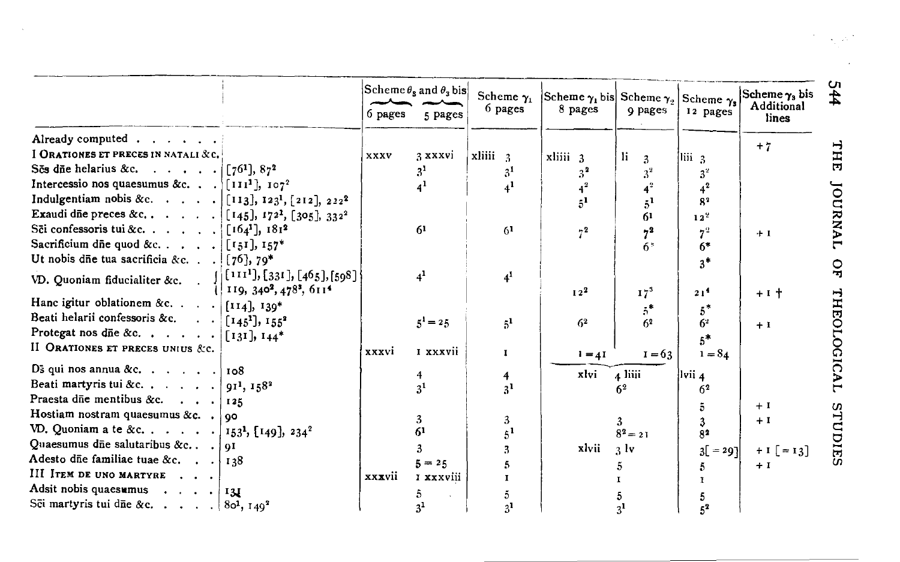|                                                                                                                                                                                                                                                                 | 6 pages | Scheme $\theta_s$ and $\theta_s$ bis<br>5 pages | Scheme $\gamma_1$<br>6 pages | Scheme $\gamma_1$ bis Scheme $\gamma_2$<br>8 pages | 9 pages              | Scheme $\gamma_s$<br>12 pages | Scheme $\gamma_3$ bis<br>Additional<br>lines |
|-----------------------------------------------------------------------------------------------------------------------------------------------------------------------------------------------------------------------------------------------------------------|---------|-------------------------------------------------|------------------------------|----------------------------------------------------|----------------------|-------------------------------|----------------------------------------------|
| Already computed                                                                                                                                                                                                                                                |         |                                                 |                              |                                                    |                      |                               | $+7$                                         |
| I ORATIONES ET PRECES IN NATALI & C.                                                                                                                                                                                                                            | XXXV    | 3 xxxvi                                         | $x$ liiii $3$                | xliii 3                                            | 1i.<br>$\mathcal{Z}$ | liii 3                        |                                              |
| Ses due helarius &c. $\lceil 76^1 \rceil, 87^2$                                                                                                                                                                                                                 |         | 3 <sup>1</sup>                                  | 3 <sup>1</sup>               | 3 <sup>2</sup>                                     | 3 <sup>2</sup>       | $3^2$                         |                                              |
| Intercessio nos quaesumus &c. $\lceil \prod_{i=1}^{n} \rceil$ , $\lceil o \rceil^2$                                                                                                                                                                             |         |                                                 | 4 <sup>1</sup>               |                                                    |                      |                               |                                              |
| Indulgentiam nobis &c. $\begin{bmatrix} 1 & 1 & 3 \end{bmatrix}$ , $\begin{bmatrix} 2 & 1 & 2 \end{bmatrix}$ , $\begin{bmatrix} 2 & 1 & 2 \end{bmatrix}$ , $\begin{bmatrix} 2 & 2 & 2 \end{bmatrix}$                                                            |         |                                                 |                              |                                                    | $5^1$                | 8 <sup>2</sup>                |                                              |
| Exaudi die preces &c [[145], 172 <sup>1</sup> , [305], 332 <sup>2</sup>                                                                                                                                                                                         |         |                                                 |                              |                                                    | 61                   | 12 <sup>2</sup>               |                                              |
| Sēi confessoris tui &c. $[164^1], 181^2$                                                                                                                                                                                                                        |         | 61                                              | 6 <sup>1</sup>               | $7^{2}$                                            | $7^2$                |                               | $+1$                                         |
| Sacrificium die quod &c. $\left[ \begin{bmatrix} i & 5i \end{bmatrix}, i & 57 \right]$                                                                                                                                                                          |         |                                                 |                              |                                                    | $6*$                 | 6*                            |                                              |
| Ut nobis dñe tua sacrificia &c. $(76)$ , 79*                                                                                                                                                                                                                    |         |                                                 |                              |                                                    |                      | $3*$                          |                                              |
|                                                                                                                                                                                                                                                                 |         | 4 <sup>1</sup>                                  | $4^1$                        |                                                    |                      |                               |                                              |
| VD. Quoniam fiducialiter &c. $\begin{bmatrix} 1 & 1 & 1^1 \end{bmatrix}$ , $\begin{bmatrix} 3 & 1 \end{bmatrix}$ , $\begin{bmatrix} 4 & 6 \end{bmatrix}$ , $\begin{bmatrix} 5 & 9 \end{bmatrix}$<br>119, 340 <sup>2</sup> , 478 <sup>3</sup> , 611 <sup>4</sup> |         |                                                 |                              | 12 <sup>2</sup>                                    | $17^3$               | 21 <sup>4</sup>               | $+1$ +                                       |
| Hanc igitur oblationem &c. $\vert$ [114], 139*                                                                                                                                                                                                                  |         |                                                 |                              |                                                    |                      |                               |                                              |
| Beati helarii confessoris &c. $\begin{bmatrix} 145^1 \end{bmatrix}$ , $155^2$                                                                                                                                                                                   |         | $5^1 = 25$                                      | 5 <sup>1</sup>               | 6 <sup>2</sup>                                     | 62                   | 62                            | $+1$                                         |
| Protegat nos dñe &c. $\vert$ [131], 144*                                                                                                                                                                                                                        |         |                                                 |                              |                                                    |                      | 5*                            |                                              |
| II ORATIONES ET PRECES UNIUS &c.                                                                                                                                                                                                                                | xxxvi   | I xxxvii                                        | $\mathbf{I}$                 | $1 = 4I$                                           | $1 = 63$             | $1 = 84$                      |                                              |
| D <sub>3</sub> qui nos annua &c. $\ldots$ $\ldots$   108                                                                                                                                                                                                        |         |                                                 |                              |                                                    |                      |                               |                                              |
| Beati martyris tui &c.   $91^1$ , $158^2$                                                                                                                                                                                                                       |         | 3 <sup>1</sup>                                  | 4                            | xlvi                                               | 4 liii               | lvii 4                        |                                              |
| Praesta die mentibus &c. $\mid$ 125                                                                                                                                                                                                                             |         |                                                 | 3 <sup>1</sup>               |                                                    | 6 <sup>2</sup>       | 62                            |                                              |
| Hostiam nostram quaesumus &c. . $\log$                                                                                                                                                                                                                          |         |                                                 |                              |                                                    |                      |                               | $+1$                                         |
| VD. Quoniam a te &c. 453 <sup>1</sup> , [149], $234^2$                                                                                                                                                                                                          |         |                                                 | 3                            |                                                    | 3                    |                               | $+1$                                         |
| Quaesumus dūe salutaribus &c $\int$ 91                                                                                                                                                                                                                          |         |                                                 |                              |                                                    | $8^2 = 21$           | 82                            |                                              |
| Adesto die familiae tuae &c. $\mid$ 138                                                                                                                                                                                                                         |         |                                                 |                              | xlvii                                              | 3 <sup>1</sup>       | $3 = 29$                      | $+1$ $=13$                                   |
| III ITEM DE UNO MARTYRE                                                                                                                                                                                                                                         | xxxvii  | $5 = 25$<br>I xxxviii                           |                              |                                                    |                      |                               | $+1$                                         |
| Adsit nobis quaesumus $ 131 $                                                                                                                                                                                                                                   |         |                                                 |                              |                                                    |                      |                               |                                              |
| Sēi martyris tui dī<br>e &c $ 80^1, 149^2$                                                                                                                                                                                                                      |         |                                                 |                              |                                                    |                      |                               |                                              |
|                                                                                                                                                                                                                                                                 |         |                                                 | 31                           |                                                    |                      |                               |                                              |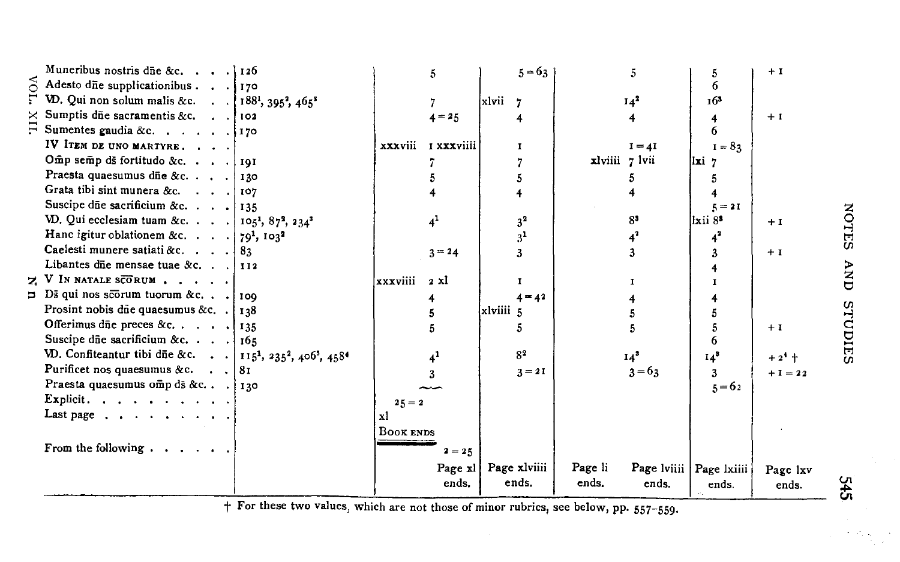| Muneribus nostris due &c. 126                                                                             |           | 5                |           | $5 - 63$              |                  | 5.            | 5                                    | $+1$                |
|-----------------------------------------------------------------------------------------------------------|-----------|------------------|-----------|-----------------------|------------------|---------------|--------------------------------------|---------------------|
| Adesto dne supplicationibus 170                                                                           |           |                  |           |                       |                  |               | 6                                    |                     |
| VD. Qui non solum malis &c. 188 <sup>1</sup> , 395 <sup>2</sup> , 465 <sup>3</sup>                        |           |                  | xlvii     | $\overline{7}$        |                  | $14^2$        | 163                                  |                     |
| $\times$ Sumptis dñe sacramentis &c. 102                                                                  |           | $4 = 25$         |           |                       |                  |               | 4                                    | $+1$                |
| $\Xi$ Sumentes gaudia &c. 170                                                                             |           |                  |           |                       |                  |               | 6                                    |                     |
| IV ITEM DE UNO MARTYRE.                                                                                   | xxxviii   | I xxxviiii       |           | т                     |                  | $I = 4I$      | $I = 82$                             |                     |
| Omp semp ds fortitudo &c. 191                                                                             |           |                  |           |                       |                  | xlviii 7 lvii | $\overline{a}$                       |                     |
| Praesta quaesumus dñe &c. 130                                                                             |           |                  |           | 5                     |                  |               |                                      |                     |
| Grata tibi sint munera &c. 107                                                                            |           |                  |           |                       |                  |               |                                      |                     |
| Suscipe due sacrificium &c. $ 135 $                                                                       |           |                  |           |                       |                  |               | $5 = 21$                             |                     |
| VD. Qui ecclesiam tuam &c.   105 <sup>1</sup> , 87 <sup>2</sup> , 234 <sup>3</sup>                        |           | $\mathbf{4}^1$   |           | 3 <sup>2</sup>        |                  | $8^3$         | llxii 8°                             | $+1$                |
| Hanc igitur oblationem &c. $ 79^1, 103^2$                                                                 |           |                  |           | 3 <sup>1</sup>        |                  |               |                                      |                     |
| Caelesti munere satiati &c. $\ldots$ . 83                                                                 |           | $3 = 24$         |           |                       |                  |               |                                      | $+1$                |
| Libantes dñe mensae tuae &c. 1112                                                                         |           |                  |           |                       |                  |               |                                      |                     |
| $\geq$ V IN NATALE SCORUM                                                                                 | xxxviiii  | 2 xl             |           | 1                     |                  | т             |                                      |                     |
| $\Box$ Ds qui nos scorum tuorum &c $\log$                                                                 |           | 4                |           | $4 = 42$              |                  |               |                                      |                     |
| Prosint nobis due quaesumus &c. $\frac{1}{38}$                                                            |           |                  | xlviiii 5 |                       |                  |               |                                      |                     |
| Offerimus due preces &c. $\begin{array}{cccc} \text{135} \\ \text{136} \end{array}$                       |           |                  |           | 5                     |                  |               |                                      | $+1$                |
| Suscipe due sacrificium &c. $\mid$ 165                                                                    |           |                  |           |                       |                  |               | 6                                    |                     |
| VD. Confiteantur tibi dñe &c.   115 <sup>1</sup> , 235 <sup>2</sup> , 406 <sup>3</sup> , 458 <sup>4</sup> |           |                  |           | S <sub>2</sub>        |                  | $14^3$        | $14^3$                               | $+2$ <sup>4</sup> + |
| Purificet nos quaesumus &c. $\cdot \cdot  81$                                                             |           |                  |           | $3 = 21$              |                  | $3 - 63$      | 3                                    | $+1 = 22$           |
| Praesta quaesumus omp ds &c] 130                                                                          |           |                  |           |                       |                  |               | $5 = 62$                             |                     |
| Explicit.                                                                                                 | $25 = 2$  |                  |           |                       |                  |               |                                      |                     |
| Last page $\cdots$ $\cdots$ $\cdots$                                                                      | xl        |                  |           |                       |                  |               |                                      |                     |
|                                                                                                           | BOOK ENDS |                  |           |                       |                  |               |                                      |                     |
| From the following $\cdots$ , $\cdots$                                                                    |           | $2 = 25$         |           |                       |                  |               |                                      |                     |
|                                                                                                           |           | Page xl<br>ends. |           | Page xlviiii<br>ends. | Page li<br>ends. | ends.         | Page lviiii   Page lxiiii  <br>ends. | Page lxv<br>ends.   |

+ For these two values, which are not those of minor rubrics, see below, pp. 557-559.

r4<br>4

 $\mathcal{F}=\mathcal{F}^{\mathcal{F}}_{\mathcal{F}}$  ,  $\mathcal{F}_{\mathcal{F}}$ 

**NOTES**  $\sum_{i=1}^{n}$ STUDIES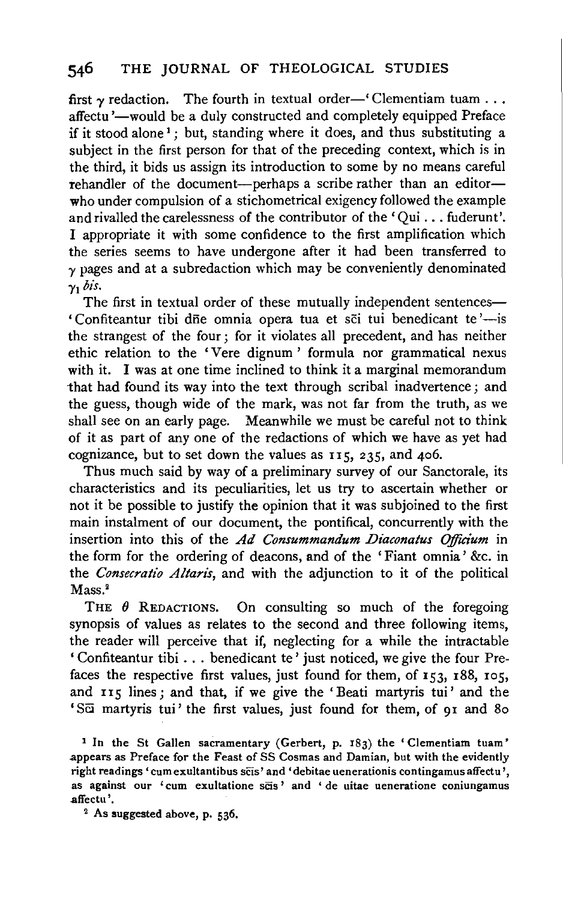first  $\gamma$  redaction. The fourth in textual order—' Clementiam tuam ... affectu'—would be a duly constructed and completely equipped Preface if it stood alone<sup>1</sup>; but, standing where it does, and thus substituting a subject in the first person for that of the preceding context, which is in the third, it bids us assign its introduction to some by no means careful rehandler of the document-perhaps a scribe rather than an editorwho under compulsion of a stichometrical exigency followed the example and rivalled the carelessness of the contributor of the 'Qui ... fuderunt'. I appropriate it with some confidence to the first amplification which the series seems to have undergone after it had been transferred to  $\gamma$  pages and at a subredaction which may be conveniently denominated  $\gamma_1$  *bis.* 

The first in textual order of these mutually independent sentences— ' Confiteantur tibi dñe omnia opera tua et sci tui benedicant te'-is the strangest of the four; for it violates all precedent, and has neither ethic relation to the 'Vere dignum' formula nor grammatical nexus with it. I was at one time inclined to think it a marginal memorandum that had found its way into the text through scribal inadvertence; and the guess, though wide of the mark, was not far from the truth, as we shall see on an early page. Meanwhile we must be careful not to think of it as part of any one of the redactions of which we have as yet had cognizance, but to set down the values as 115, 235, and 406.

Thus much said by way of a preliminary survey of our Sanctorale, its characteristics and its peculiarities, let us try to ascertain whether or not it be possible to justify the opinion that it was subjoined to the first main instalment of our document, the pontifical, concurrently with the insertion into this of the *Ad Consummandum Diaconatus Officium* in the form for the ordering of deacons, and of the 'Fiant omnia' &c. in the *Consecratio Altaris*, and with the adjunction to it of the political Mass.<sup>2</sup>

THE  $\theta$  REDACTIONS. On consulting so much of the foregoing synopsis of values as relates to the second and three following items, the reader will perceive that if, neglecting for a while the intractable ' Confiteantur tibi ... benedicant te ' just noticed, we give the four Prefaces the respective first values, just found for them, of 153, 188, 105, and 115 lines; and that, if we give the 'Beati martyris tui' and the 'SCi martyris tui' the first values, just found for them, of 91 and 8o

1 In the St Gallen sacramentary (Gerbert, p. 183) the 'Clementiam tuam' .appears as Preface for the Feast of SS Cosmas and Damian, but with the evidently right readings 'cum exultantibus scis' and 'debitae uenerationis contingamus affectu', as against our 'cum exultatione scis' and ' de uitae ueneratione coniungamus affectu'.<br><sup>2</sup> As suggested above, p. 536.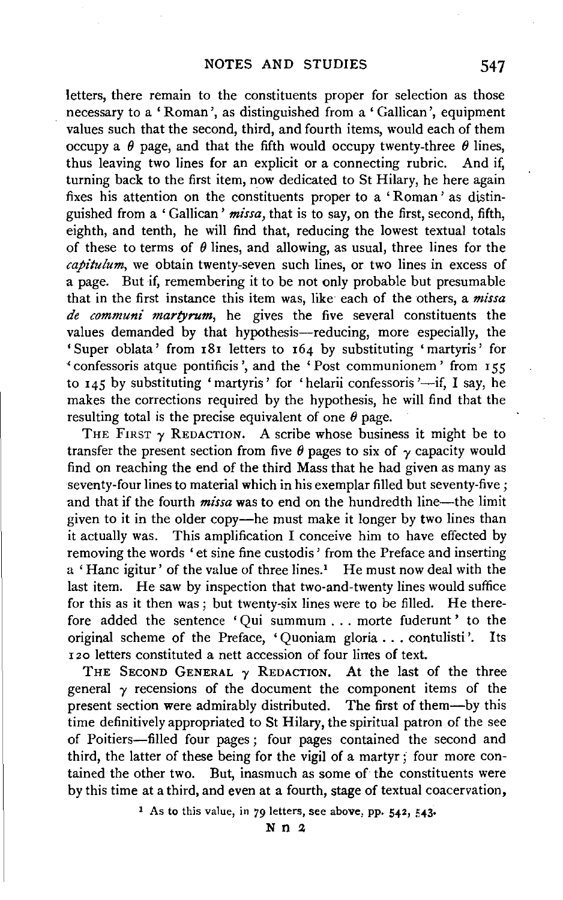letters, there remain to the constituents proper for selection as those necessary to a 'Roman', as distinguished from a 'Gallican ', equipment values such that the second, third, and fourth items, would each of them occupy a  $\theta$  page, and that the fifth would occupy twenty-three  $\theta$  lines, thus leaving two lines for an explicit or a connecting rubric. And if, turning back to the first item, now dedicated to St Hilary, he here again fixes his attention on the constituents proper to a ' Roman ' as distinguished from a 'Gallican' *missa,* that is to say, on the first, second, fifth, eighth, and tenth, he will find that, reducing the lowest textual totals of these to terms of  $\theta$  lines, and allowing, as usual, three lines for the *capitulum,* we obtain twenty-seven such lines, or two lines in excess of a page. But if, remembering it to be not only probable but presumable that in the first instance this item was, like· each of the others, a *missa de communi martyrum,* be gives the five several constituents the values demanded by that hypothesis-reducing, more especially, the 'Super oblata' from 181 letters to 164 by substituting 'martyris' for • confessoris atque pontificis ', and the 'Post communionem' from 155 to  $145$  by substituting 'martyris' for 'helarii confessoris'—if, I say, he makes the corrections required by the hypothesis, he will find that the resulting total is the precise equivalent of one  $\theta$  page.

THE FIRST  $\gamma$  REDACTION. A scribe whose business it might be to transfer the present section from five  $\theta$  pages to six of  $\gamma$  capacity would find on reaching the end of the third Mass that he had given as many as seventy-four lines to material which in his exemplar filled but seventy-five ; and that if the fourth *missa* was to end on the hundredth line—the limit given to it in the older copy-he must make it longer by two lines than it actually was. This amplification I conceive him to have effected by removing the words ' et sine fine custodis ' from the Preface and inserting a ' Hanc igitur' of the value of three lines.' He must now deal with the last item. He saw by inspection that two-and-twenty lines would suffice for this as it then was ; but twenty-six lines were to be filled. He therefore added the sentence 'Qui summum ... morte fuderunt ' to the original scheme of the Preface, 'Quoniam gloria ... contulisti '. Its 120 letters constituted a nett accession of four lines of text.

THE SECOND GENERAL  $\gamma$  REDACTION. At the last of the three general  $\gamma$  recensions of the document the component items of the present section were admirably distributed. The first of them-by this time definitively appropriated to St Hilary, the spiritual patron of the see of Poitiers-filled four pages ; four pages contained the second and third, the latter of these being for the vigil of a martyr ; four more contained the other two. But, inasmuch as some of the constituents were by this time at a third, and even at a fourth, stage of textual coacervation,

1 As to this value, in *79* letters, see above, pp. 542, 543·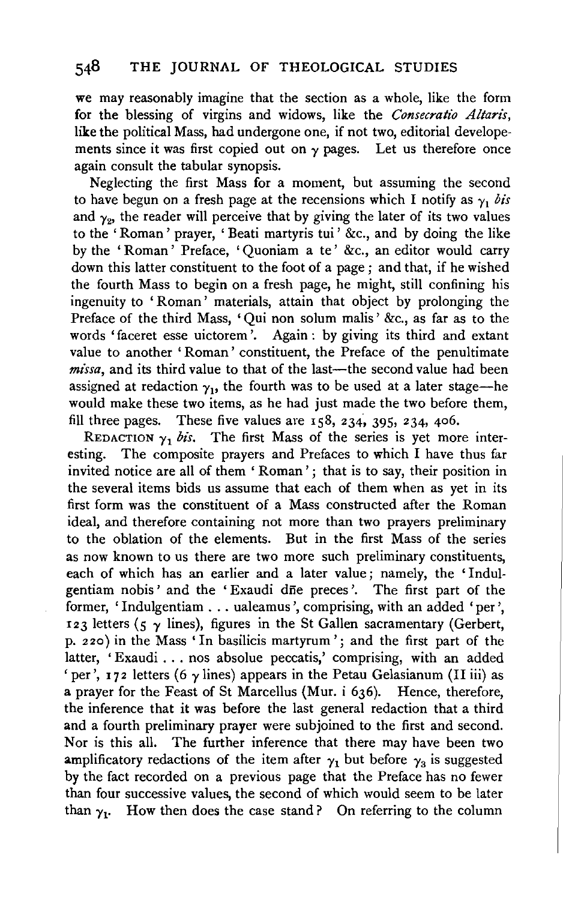we may reasonably imagine that the section as a whole, like the form for the blessing of virgins and widows, like the *Consecratio Altarz's,*  like the political Mass, had undergone one, if not two, editorial developements since it was first copied out on  $\gamma$  pages. Let us therefore once again consult the tabular synopsis.

Neglecting the first Mass for a moment, but assuming the second to have begun on a fresh page at the recensions which I notify as  $\gamma_1$  *bis* and  $\gamma_2$ , the reader will perceive that by giving the later of its two values to the ' Roman ' prayer, ' Beati martyris tui ' &c., and by doing the like by the 'Roman' Preface, 'Quoniam a te' &c., an editor would carry down this latter constituent to the foot of a page ; and that, if he wished the fourth Mass to begin on a fresh page, he might, still confining his ingenuity to 'Roman' materials, attain that object by prolonging the Preface of the third Mass, 'Qui non solum malis' &c., as far as to the words 'faceret esse uictorem '. Again : by giving its third and extant value to another 'Roman' constituent, the Preface of the penultimate missa, and its third value to that of the last-the second value had been assigned at redaction  $\gamma_1$ , the fourth was to be used at a later stage-he would make these two items, as he had just made the two before them, fill three pages. These five values are  $158$ ,  $234$ ,  $395$ ,  $234$ ,  $406$ .

REDACTION  $\gamma_1$  bis. The first Mass of the series is yet more interesting. The composite prayers and Prefaces to which I have thus far invited notice are all of them ' Roman'; that is to say, their position in the several items bids us assume that each of them when as yet in its first form was the constituent of a Mass constructed after the Roman ideal, and therefore containing not more than two prayers preliminary to the oblation of the elements. But in the first Mass of the series as now known to us there are two more such preliminary constituents, each of which has an earlier and a later value; namely, the 'Indulgentiam nobis' and the 'Exaudi die preces'. The first part of the former, 'Indulgentiam ... ualeamus ', comprising, with an added 'per', 123 letters (5  $\gamma$  lines), figures in the St Gallen sacramentary (Gerbert, p. 2 20) in the Mass 'In basilicis martyrum '; and the first part of the latter, 'Exaudi ... nos absolue peccatis,' comprising, with an added 'per', 172 letters (6  $\gamma$  lines) appears in the Petau Gelasianum (II iii) as a prayer for the Feast of St Marcellus (Mur. i 636). Hence, therefore, the inference that it was before the last general redaction that a third and a fourth preliminary prayer were subjoined to the first and second. Nor is this all. The further inference that there may have been two amplificatory redactions of the item after  $\gamma_1$  but before  $\gamma_3$  is suggested by the fact recorded on a previous page that the Preface has no fewer than four successive values, the second of which would seem to be later than  $y_1$ . How then does the case stand? On referring to the column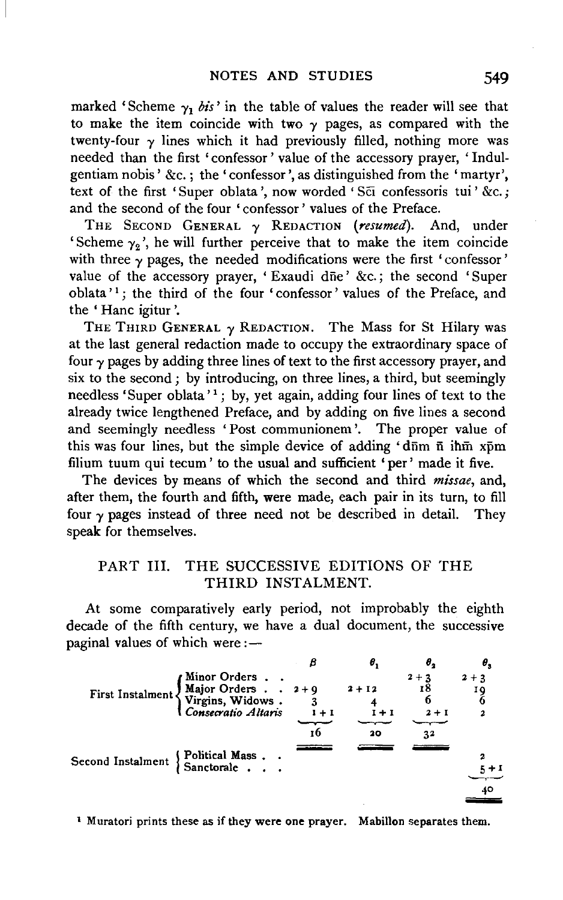marked 'Scheme  $\gamma_1$  bis' in the table of values the reader will see that to make the item coincide with two  $\gamma$  pages, as compared with the twenty-four  $\gamma$  lines which it had previously filled, nothing more was needed than the first 'confessor ' value of the accessory prayer, ' Indulgentiam nobis' &c.; the' confessor', as distinguished from the 'martyr', text of the first 'Super oblata', now worded 'Sci confessoris tui' &c.; and the second of the four 'confessor' values of the Preface.

THE SECOND GENERAL *'Y* REDACTION *(resumed).* And, under 'Scheme  $\gamma_2$ ', he will further perceive that to make the item coincide with three  $\gamma$  pages, the needed modifications were the first 'confessor' value of the accessory prayer, 'Exaudi dne' &c.; the second 'Super oblata'<sup>1</sup>; the third of the four 'confessor' values of the Preface, and the ' Hanc igitur '.

THE THIRD GENERAL  $\gamma$  REDACTION. The Mass for St Hilary was at the last general redaction made to occupy the extraordinary space of four  $\gamma$  pages by adding three lines of text to the first accessory prayer, and six to the second ; by introducing, on three lines, a third, but seemingly needless 'Super oblata' 1; by, yet again, adding four lines of text to the already twice lengthened Preface, and by adding on five lines a second and seemingly needless 'Post communionem '. The proper value of this was four lines, but the simple device of adding ' $d\bar{m}$  m  $\bar{n}$  ihm  $x\bar{p}m$ filium tuum qui tecum' to the usual and sufficient 'per' made it five.

The devices by means of which the second and third *missae,* and, after them, the fourth and fifth, were made, each pair in its turn, to fill four  $\gamma$  pages instead of three need not be described in detail. They speak for themselves.

# PART Ill. THE SUCCESSIVE EDITIONS OF THE THIRD INSTALMENT.

At some comparatively early period, not improbably the eighth decade of the fifth century, we have a dual document, the successive paginal values of which were: $\frac{...}{...}$ 

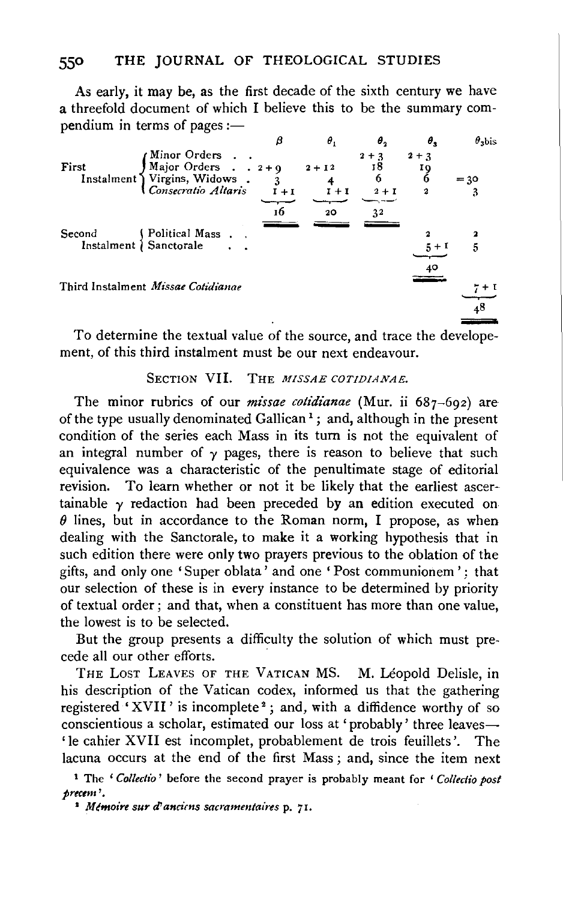As early, it may be, as the first decade of the sixth century we have a threefold document of which I believe this to be the summary com $p$ endium in terms of pages :-



To determine the textual value of the source, and trace the developement, of this third instalment must be our next endeavour.

# SECTION VII. THE *MISSAE COTIDIANAE*.

The minor rubrics of our *missae cotidianae* (Mur. ii 687–692) are of the type usually denominated Gallican<sup>1</sup>; and, although in the present condition of the series each Mass in its turn is not the equivalent of an integral number of  $\gamma$  pages, there is reason to believe that such equivalence was a characteristic of the penultimate stage of editorial revision. To learn whether or not it be likely that the earliest ascertainable  $\gamma$  redaction had been preceded by an edition executed on  $\theta$  lines, but in accordance to the Roman norm, I propose, as when dealing with the Sanctorale, to make it a working hypothesis that in such edition there were only two prayers previous to the oblation of the gifts, and only one 'Super oblata' and one 'Post communionem'; that our selection of these is in every instance to be determined by priority of textual order; and that, when a constituent has more than one value, the lowest is to be selected.

But the group presents a difficulty the solution of which must precede all our other efforts.

THE LOST LEAVES OF THE VATICAN MS. M. Léopold Delisle, in his description of the Vatican codex, informed us that the gathering registered 'XVII' is incomplete<sup>2</sup>; and, with a diffidence worthy of so conscientious a scholar, estimated our loss at 'probably' three leaves-' le cahier XVII est incomplet, probablement de trois feuillets '. The lacuna occurs at the end of the first Mass ; and, since the item next

1 The ' *Colleclio'* before the second prayer is probably meant for ' *Collectio post prectm* '· 1 *M bnoire sur d' ancirns sacmmentaires* p. *7* r.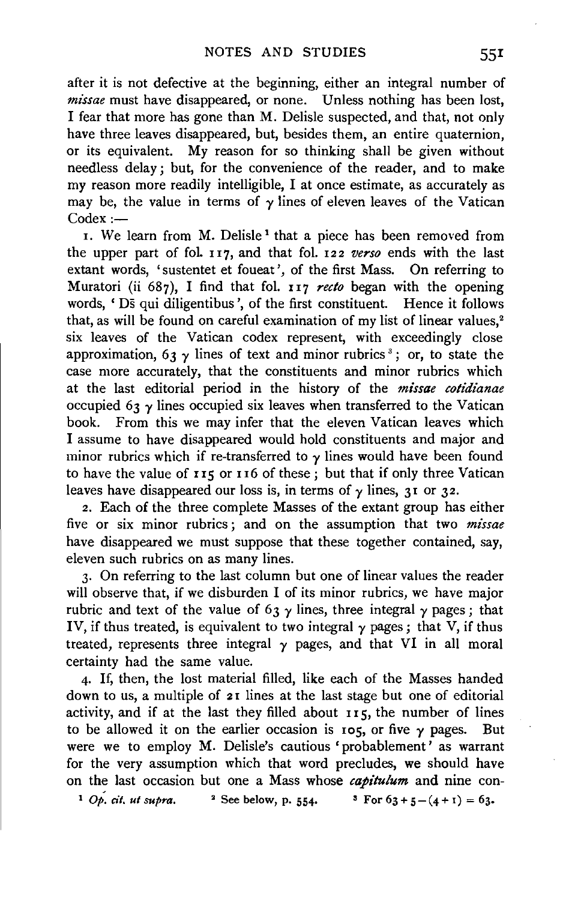after it is not defective at the beginning, either an integral number of *missae* must have disappeared, or none. Unless nothing has been lost, I fear that more has gone than M. Delisle suspected, and that, not only have three leaves disappeared, but, besides them, an entire quaternion, or its equivalent. My reason for so thinking shall be given without needless delay; but, for the convenience of the reader, and to make my reason more readily intelligible, I at once estimate, as accurately as may be, the value in terms of  $\gamma$  lines of eleven leaves of the Vatican  $Codex :=$ 

I. We learn from M. Delisle<sup>1</sup> that a piece has been removed from the upper part of fol. I I7, and that fol. I22 *verso* ends with the last extant words, 'sustentet et foueat', of the first Mass. On referring to Muratori (ii 687), I find that fol. II7 *recto* began with the opening words, ' Ds qui diligentibus', of the first constituent. Hence it follows that, as will be found on careful examination of my list of linear values,<sup>2</sup> six leaves of the Vatican codex represent, with exceedingly close approximation, 63  $\gamma$  lines of text and minor rubrics<sup>3</sup>; or, to state the case more accurately, that the constituents and minor rubrics which at the last editorial period in the history of the *missae cotidianae*  occupied 63  $\gamma$  lines occupied six leaves when transferred to the Vatican book. From this we may infer that the eleven Vatican leaves which I assume to have disappeared would hold constituents and major and minor rubrics which if re-transferred to  $\gamma$  lines would have been found to have the value of  $115$  or  $116$  of these; but that if only three Vatican leaves have disappeared our loss is, in terms of  $\gamma$  lines, 31 or 32.

2. Each of the three complete Masses of the extant group has either five or six minor rubrics ; and on the assumption that two *missae*  have disappeared we must suppose that these together contained, say, eleven such rubrics on as many lines.

3· On referring to the last column but one of linear values the reader will observe that, if we disburden I of its minor rubrics, we have major rubric and text of the value of 63  $\gamma$  lines, three integral  $\gamma$  pages; that IV, if thus treated, is equivalent to two integral  $\gamma$  pages; that V, if thus treated, represents three integral  $\gamma$  pages, and that VI in all moral certainty had the same value.

4· If, then, the lost material filled, like each of the Masses handed down to us, a multiple of 21 lines at the last stage but one of editorial activity, and if at the last they filled about  $115$ , the number of lines to be allowed it on the earlier occasion is  $\log$ , or five  $\gamma$  pages. But were we to employ M. Delisle's cautious 'probablement' as warrant for the very assumption which that word precludes, we should have on the last occasion but one a Mass whose *capitulum* and nine con-

<sup>1</sup> *Op. cit. ut supra.* <sup>2</sup> See below, p. 554. <sup>3</sup> For  $63 + 5 - (4 + 1) = 63$ .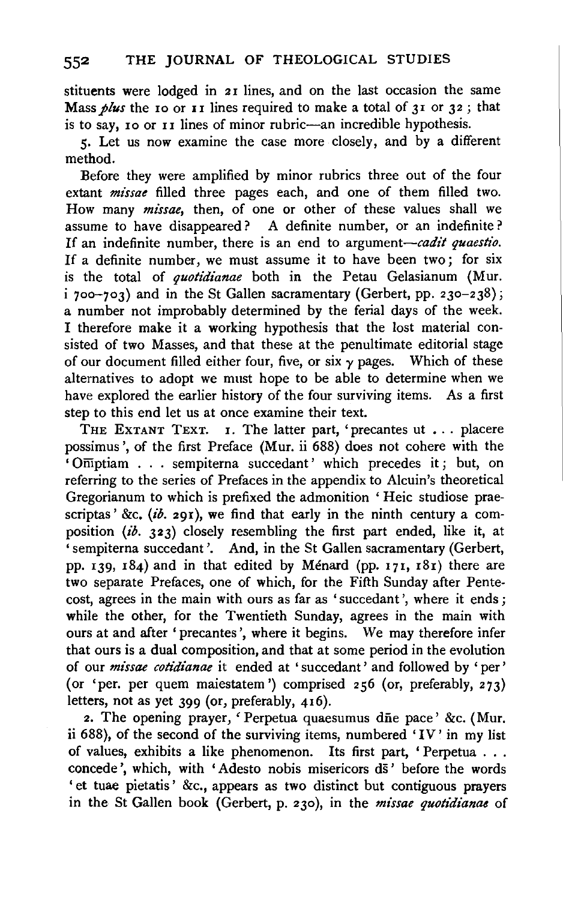stituents were lodged in 21 lines, and on the last occasion the same Mass *plus* the 10 or 11 lines required to make a total of 31 or 32; that is to say, 10 or 11 lines of minor rubric-an incredible hypothesis.

5· Let us now examine the case more closely, and by a different method.

Before they were amplified by minor rubrics three out of the four extant *missae* filled three pages each, and one of them filled two. How many *missae,* then, of one or other of these values shall we assume to have disappeared? A definite number, or an indefinite? If an indefinite number, there is an end to argument-cadit quaestio. If a definite number, we must assume it to have been two; for six is the total of *quotidianae* both in the Petau Gelasianum (Mur.  $i$  700-703) and in the St Gallen sacramentary (Gerbert, pp. 230-238); a number not improbably determined by the ferial days of the week. I therefore make it a working hypothesis that the lost material consisted of two Masses, and that these at the penultimate editorial stage of our document filled either four, five, or six  $\gamma$  pages. Which of these alternatives to adopt we must hope to be able to determine when we have explored the earlier history of the four surviving items. As a first step to this end let us at once examine their text.

THE EXTANT TEXT. I. The latter part, 'precantes ut . . . placere possimus ', of the first Preface (Mur. ii 688) does not cohere with the 'Offiptiam . . . sempiterna succedant' which precedes it; but, on referring to the series of Prefaces in the appendix to Alcuin's theoretical Gregorianum to which is prefixed the admonition ' Heic studiose praescriptas' &c. *(ib.* 291), we find that early in the ninth century a composition *(ib.* 323) closely resembling the first part ended, like it, at 'sempiterna succedant '. And, in the St Gallen sacramentary (Gerbert, pp. 139, 184) and in that edited by Ménard (pp. 171, 181) there are two separate Prefaces, one of which, for the Fifth Sunday after Pentecost, agrees in the main with ours as far as 'succedant ', where it ends; while the other, for the Twentieth Sunday, agrees in the main with ours at and after 'precantes ', where it begins. We may therefore infer that ours is a dual composition, and that at some period in the evolution of our *missae cotidianae* it ended at ' succedant' and followed by ' per' (or 'per. per quem maiestatem ') comprised  $256$  (or, preferably,  $273$ ) letters, not as yet 399 (or, preferably, 416).

2. The opening prayer, 'Perpetua quaesumus die pace' &c. (Mur. ii 688), of the second of the surviving items, numbered 'IV' in my list of values, exhibits a like phenomenon. Its first part, ' Perpetua . . . concede', which, with 'Adesto nobis misericors ds' before the words ' et tuae pietatis ' &c., appears as two distinct but contiguous prayers in the St Gallen book (Gerbert, p. 230), in the *missae quotidianae* of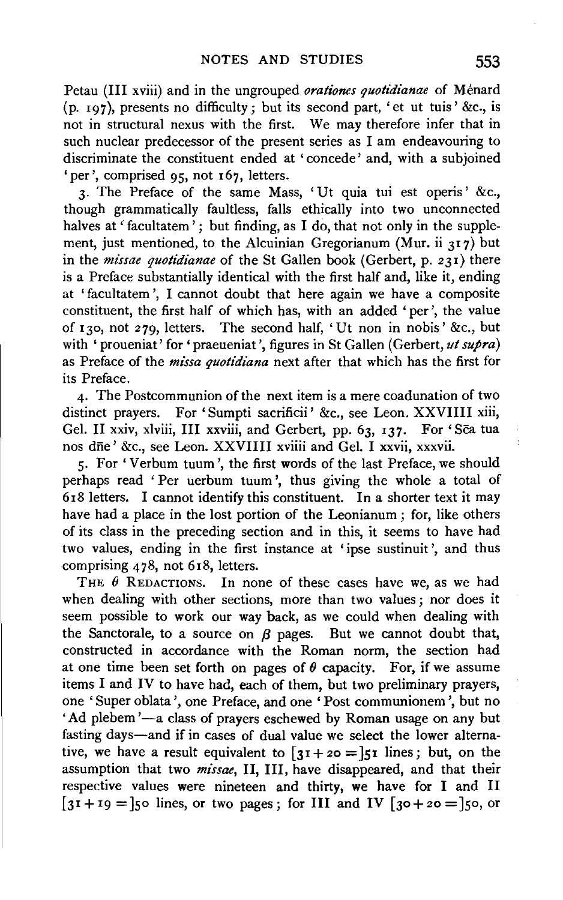Petau (III xviii) and in the ungrouped *orationes quotidianae* of Ménard (p. 197), presents no difficulty; but its second part, 'et ut tuis' &c., is not in structural nexus with the first. We may therefore infer that in such nuclear predecessor of the present series as I am endeavouring to discriminate the constituent ended at 'concede' and, with a subjoined 'per', comprised 95, not 167, letters.

3· The Preface of the same Mass, 'Ut quia tui est operis' &c., though grammatically faultless, falls ethically into two unconnected halves at ' facultatem'; but finding, as I do, that not only in the supplement, just mentioned, to the Alcuinian Gregorianum (Mur. ii 317) but in the *missae quotidianae* of the St Gallen book (Gerbert, p. 231) there is a Preface substantially identical with the first half and, like it, ending at 'facultatem ', I cannot doubt that here again we have a composite constituent, the first half of which has, with an added 'per', the value of 130, not 279, letters. The second half, 'Ut non in nobis' &c., but with 'proueniat' for 'praeueniat', figures in St Gallen (Gerbert, *ut supra*) as Preface of the *missa quotidiana* next after that which has the first for its Preface.

4· The Postcommunion of the next item is a mere coadunation of two distinct prayers. For 'Sumpti sacrificii' &c., see Leon. XXVIIII xiii, Gel. II xxiv, xlviii, III xxviii, and Gerbert, pp. 63, 137. For 'Sca tua nos dfie' &c., see Leon. XXVIIIl xviiii and Gel. I xxvii, xxxvii.

5· For 'Verbum tuum', the first words of the last Preface, we should perhaps read ' Per uerbum tuum ', thus giving the whole a total of 618 letters. I cannot identify this constituent. In a shorter text it may have had a place in the lost portion of the Leonianum ; for, like others of its class in the preceding section and in this, it seems to have had two values, ending in the first instance at 'ipse sustinuit ', and thus comprising 478, not 618, letters.

THE  $\theta$  REDACTIONS. In none of these cases have we, as we had when dealing with other sections, more than two values; nor does it seem possible to work our way back, as we could when dealing with the Sanctorale, to a source on  $\beta$  pages. But we cannot doubt that, constructed in accordance with the Roman norm, the section had at one time been set forth on pages of  $\theta$  capacity. For, if we assume items I and IV to have had, each of them, but two preliminary prayers, one 'Super oblata', one Preface, and one 'Post communionem', but no 'Ad plebem'-a class of prayers eschewed by Roman usage on any but fasting days-and if in cases of dual value we select the lower alternative, we have a result equivalent to  $\lceil 31 + 20 = \rceil 51$  lines; but, on the assumption that two *missae,* 11, Ill, have disappeared, and that their respective values were nineteen and thirty, we have for I and 11  $\overline{31} + 19 =$  so lines, or two pages; for III and IV  $\overline{30} + 20 =$  so, or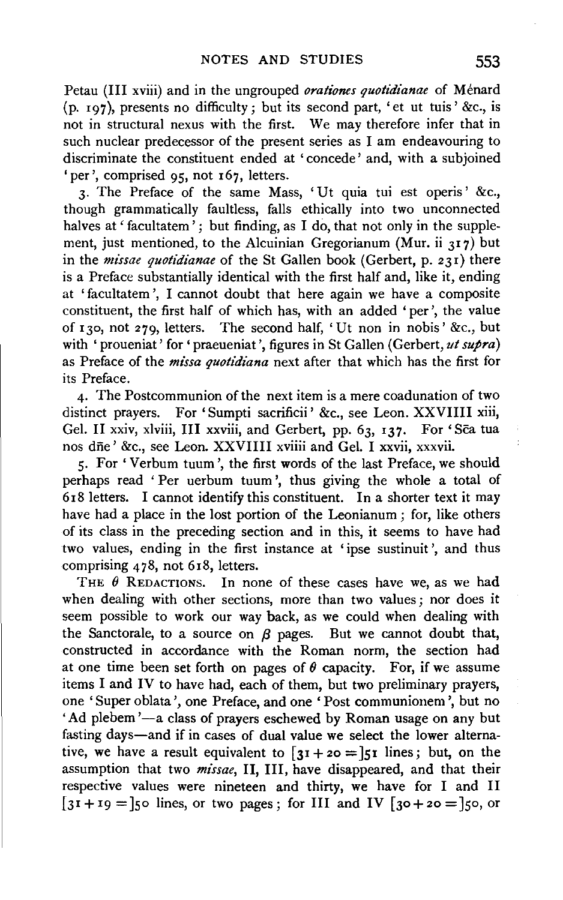Petau (III xviii) and in the ungrouped *orationes quotidianae* of Ménard (p. 197), presents no difficulty; but its second part, 'et ut tuis' &c., is not in structural nexus with the first. We may therefore infer that in such nuclear predecessor of the present series as I am endeavouring to discriminate the constituent ended at 'concede' and, with a subjoined 'per', comprised 95, not 167, letters.

3· The Preface of the same Mass, 'Ut quia tui est operis' &c., though grammatically faultless, falls ethically into two unconnected halves at ' facultatem'; but finding, as I do, that not only in the supplement, just mentioned, to the Alcuinian Gregorianum (Mur. ii  $317$ ) but in the *missae quotidianae* of the St Gallen book (Gerbert, p. 231) there is a Preface substantially identical with the first half and, like it, ending at 'facultatem ', I cannot doubt that here again we have a composite constituent, the first half of which has, with an added 'per', the value of 130, not 279, letters. The second half, 'Ut non in nobis' &c., but with 'proueniat' for 'praeueniat', figures in St Gallen (Gerbert, *ut supra*) as Preface of the *missa quotidiana* next after that which has the first for its Preface.

4· The Postcommunion of the next item is a mere coadunation of two distinct prayers. For 'Sumpti sacrificii' &c., see Leon. XXVIIII xiii, Gel. II xxiv, xlviii, III xxviii, and Gerbert, pp. 63, 137. For 'Sca tua nos dfie' &c., see Leon. XXVIIII xviiii and Gel. I xxvii, xxxvii.

5· For 'Verbum tuum', the first words of the last Preface, we should perhaps read ' Per uerbum tuum ', thus giving the whole a total of 6r8 letters. I cannot identify this constituent. In a shorter text it may have had a place in the lost portion of the Leonianum ; for, like others of its class in the preceding section and in this, it seems to have had two values, ending in the first instance at 'ipse sustinuit ', and thus comprising 478, not 6r8, letters.

THE  $\theta$  REDACTIONS. In none of these cases have we, as we had when dealing with other sections, more than two values; nor does it seem possible to work our way back, as we could when dealing with the Sanctorale, to a source on  $\beta$  pages. But we cannot doubt that, constructed in accordance with the Roman norm, the section had at one time been set forth on pages of  $\theta$  capacity. For, if we assume items I and IV to have had, each of them, but two preliminary prayers, one 'Super oblata', one Preface, and one 'Post communionem', but no 'Ad plebem'--a class of prayers eschewed by Roman usage on any but fasting days-and if in cases of dual value we select the lower alternative, we have a result equivalent to  $\left[31 + 20 = 51\right]$  lines; but, on the assumption that two *missae,* 11, Ill, have disappeared, and that their respective values were nineteen and thirty, we have for I and 11  $\overline{31} + 19 =$  so lines, or two pages; for III and IV  $\overline{30} + 20 =$  so, or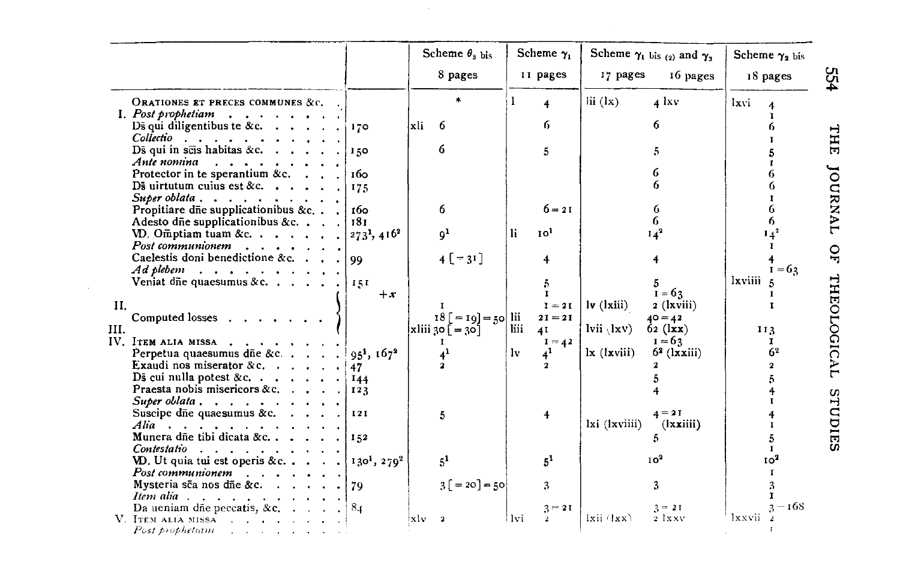|                                                                                                                                                                                                                                                       |                           | Scheme $\theta_{\rm a \, bis}$<br>8 pages | Scheme $\gamma_1$<br>II pages | Scheme $\gamma_1$ bis (2) and $\gamma_3$<br>17 pages<br>16 pages       | Scheme $\gamma_2$ bis<br>18 pages |
|-------------------------------------------------------------------------------------------------------------------------------------------------------------------------------------------------------------------------------------------------------|---------------------------|-------------------------------------------|-------------------------------|------------------------------------------------------------------------|-----------------------------------|
| ORATIONES ET PRECES COMMUNES &c.                                                                                                                                                                                                                      |                           |                                           | $\overline{\mathbf{4}}$       | $\mathbf{ii}$ $(\mathbf{lx})$<br>$4$ lxv                               | lxvi                              |
| I. Post prophetiam<br>$\sim$ . The set of the set of the set of the set of the set of the set of the set of the set of the set of the set of the set of the set of the set of the set of the set of the set of the set of the set of the set of the s |                           |                                           |                               |                                                                        |                                   |
| Ds qui diligentibus te &c. $\cdot \cdot \cdot$ .                                                                                                                                                                                                      | 170                       | xli<br>6                                  | 6.                            | 6                                                                      |                                   |
| $Collectio$                                                                                                                                                                                                                                           |                           |                                           |                               |                                                                        |                                   |
| Ds qui in sets habitas &c. $\cdots$ .                                                                                                                                                                                                                 | 150                       | 6                                         | 5                             | 5                                                                      |                                   |
| Ante nomina                                                                                                                                                                                                                                           |                           |                                           |                               | 6                                                                      |                                   |
| Protector in te sperantium &c. $\cdot$ .                                                                                                                                                                                                              | 1бо                       |                                           |                               | 6                                                                      |                                   |
| Ds uirtutum cuius est &c. $\cdot \cdot \cdot$ .<br>Super oblata $\cdots$ , $\cdots$ , $\cdots$                                                                                                                                                        | 175                       |                                           |                               |                                                                        |                                   |
| Propitiare dne supplicationibus &c. .                                                                                                                                                                                                                 | 160                       | 6                                         | $6 = 21$                      | 6                                                                      | 6                                 |
| Adesto dne supplicationibus &c. $\cdot$ .                                                                                                                                                                                                             | 181                       |                                           |                               |                                                                        | 6                                 |
| VD. Omptiam tuam &c.                                                                                                                                                                                                                                  | $2731$ , 416 <sup>2</sup> | 9 <sup>1</sup>                            | 10 <sup>1</sup><br>li.        | $14^2$                                                                 | $14^2$                            |
| Post communionem                                                                                                                                                                                                                                      |                           |                                           |                               |                                                                        | T.                                |
| Caelestis doni benedictione &c. $\cdot$ .                                                                                                                                                                                                             | 99                        | $4[-31]$                                  | 4                             |                                                                        |                                   |
|                                                                                                                                                                                                                                                       |                           |                                           |                               |                                                                        | $I = 63$                          |
| Veniat die quaesumus & c. $\ldots$ .                                                                                                                                                                                                                  | 151                       |                                           | 5                             |                                                                        | <i>lxviiii</i>                    |
|                                                                                                                                                                                                                                                       | $+x$                      |                                           | $\mathbf{I}$                  | $\tilde{i} = 63$                                                       |                                   |
| П.                                                                                                                                                                                                                                                    |                           |                                           | $I = 2I$                      | $\mathbf{I}\mathbf{v}$ (1xiii)<br>$2$ (lxviii)                         |                                   |
| Computed losses $\cdots$                                                                                                                                                                                                                              |                           | $18 [ = 19] = 50$ lii                     | $2I = 2I$                     | $40 = 42$                                                              |                                   |
| III.                                                                                                                                                                                                                                                  |                           | $x$ liii 30 $[-30]$                       | liii<br>4 <sub>1</sub>        | $lvi \ (lxv)$<br>$62$ (lxx)                                            | 113                               |
| IV. ITEM ALIA MISSA                                                                                                                                                                                                                                   |                           | 1                                         | $I = 42$                      | $I = 63$<br>$l \mathbf{x}$ ( $l \mathbf{x}$ viii)<br>$6^2$ ( $l$ xiii) | $\mathbf{I}$<br>6 <sup>2</sup>    |
| Perpetua quaesumus d $\bar{p}$ e &c<br>Exaudi nos miserator & c. $\cdots$                                                                                                                                                                             | $951$ , $1672$            | 4 <sup>1</sup><br>$\mathbf{r}$            | $4^1$<br>lv.<br>$\mathbf{2}$  |                                                                        | $\mathbf{z}$                      |
| Ds cui nulla potest &c. $\vert$                                                                                                                                                                                                                       | 47                        |                                           |                               |                                                                        |                                   |
| Praesta nobis misericors &c.                                                                                                                                                                                                                          | <b>I44</b><br>123         |                                           |                               | 4                                                                      |                                   |
| Super oblata $\cdots$ $\cdots$ $\cdots$                                                                                                                                                                                                               |                           |                                           |                               |                                                                        |                                   |
| Suscipe die quaesumus &c.                                                                                                                                                                                                                             | 121                       | 5                                         | $\overline{4}$                | $4 = 21$                                                               |                                   |
| Alia $\cdots$ , $\cdots$                                                                                                                                                                                                                              |                           |                                           |                               | lxi (lxviiii)<br>(lxxiii)                                              |                                   |
| Munera dñe tibi dicata &c.                                                                                                                                                                                                                            | 152                       |                                           |                               | 5                                                                      | 5                                 |
| $Contentsatio \ldots \ldots \ldots \ldots$                                                                                                                                                                                                            |                           |                                           |                               |                                                                        | $\mathbf{r}$                      |
| VD. Ut quia tui est operis &c                                                                                                                                                                                                                         | $1301$ , $2702$           | 5 <sup>1</sup>                            | 5 <sup>1</sup>                | 10 <sup>2</sup>                                                        | 10 <sup>2</sup>                   |
| $Postcommon$ $\ldots$ $\ldots$ $\ldots$                                                                                                                                                                                                               |                           |                                           |                               |                                                                        |                                   |
| Mysteria sca nos dñe &c.                                                                                                                                                                                                                              | 79                        | $3[-20] = 50$                             | 3                             | 3                                                                      |                                   |
| $Item \textit{alia}$                                                                                                                                                                                                                                  |                           |                                           |                               |                                                                        | $3 - 168$                         |
| Da ueniam dñe peccatis, &c. $\ldots$ .<br>V. ITEM ALIA MISSA                                                                                                                                                                                          | 8 <sub>4</sub>            | xlv                                       | $3 = 21$<br>Hvi.              | $2 = 21$<br>$ixii$ $(xx)$<br>2 lxxv                                    | Ixxvii                            |
| Post prophetiam $\cdots$ , $\cdots$                                                                                                                                                                                                                   |                           |                                           |                               |                                                                        |                                   |

 $\mathcal{L}^{\text{max}}_{\text{max}}$  ,  $\mathcal{L}^{\text{max}}_{\text{max}}$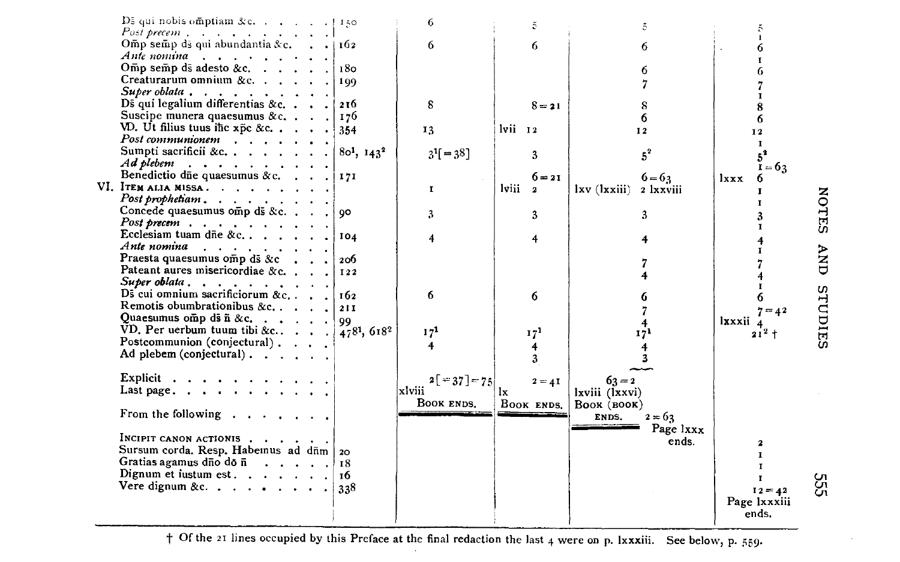

+ Of the 21 lines occupied by this Preface at the final redaction the last 4 were on p. Ixxxiii. See below, p. 559.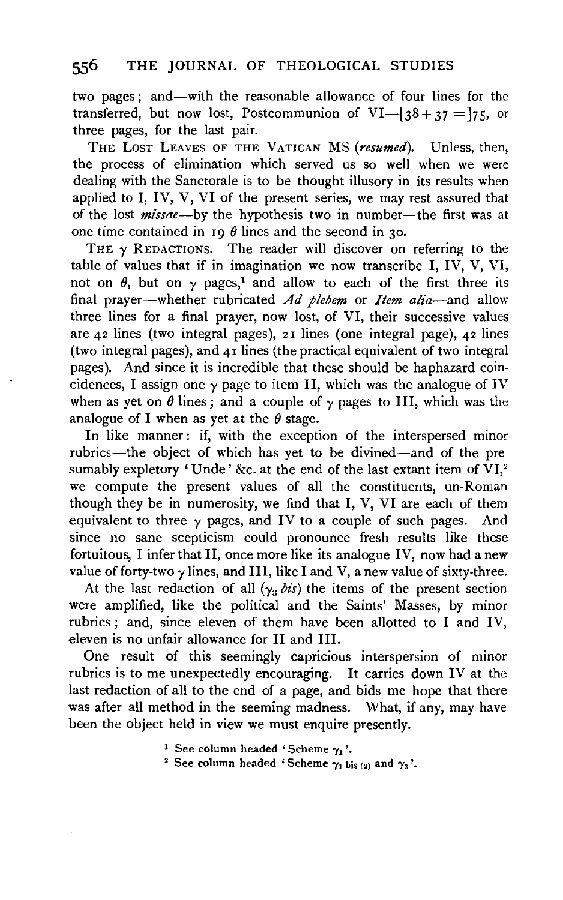two pages; and—with the reasonable allowance of four lines for the transferred, but now lost, Postcommunion of VI- $\left[38+37=7\right]$ 75, or three pages, for the last pair.

THE LosT LEAVES OF THE VATICAN MS *(resumed).* Unless, then, the process of elimination which served us so well when we were dealing with the Sanctorale is to be thought illusory in its results when applied to I, IV, V, VI of the present series, we may rest assured that of the lost *missae*--by the hypothesis two in number- the first was at one time contained in 19  $\theta$  lines and the second in 30.

THE  $\gamma$  REDACTIONS. The reader will discover on referring to the table of values that if in imagination we now transcribe I, IV, V, VI, not on  $\theta$ , but on  $\gamma$  pages,<sup>1</sup> and allow to each of the first three its final prayer-whether rubricated *Ad plebem* or *Item alia-and* allow three lines for a final prayer, now lost, of VI, their successive values are 42 lines (two integral pages), 21 lines (one integral page), 42 lines (two integral pages), and 41 lines (the practical equivalent of two integral pages). And since it is incredible that these should be haphazard coincidences, I assign one  $\gamma$  page to item II, which was the analogue of IV when as yet on  $\theta$  lines; and a couple of  $\gamma$  pages to III, which was the analogue of I when as yet at the  $\theta$  stage.

In like manner : if, with the exception of the interspersed minor rubrics-the object of which has yet to be divined-and of the presumably expletory 'Unde' &c. at the end of the last extant item of  $\rm \dot{V}l^{2}$ we compute the present values of all the constituents, un-Roman though they be in numerosity, we find that I, V, VI are each of them equivalent to three  $\gamma$  pages, and IV to a couple of such pages. And since no sane scepticism could pronounce fresh results like these fortuitous, I infer that 11, once more like its analogue IV, now had a new value of forty-two  $\gamma$  lines, and III, like I and V, a new value of sixty-three.

At the last redaction of all  $(\gamma_3 \text{ bits})$  the items of the present section were amplified, like the political and the Saints' Masses, by minor rubrics ; and, since eleven of them have been allotted to I and IV, eleven is no unfair allowance for 11 and Ill.

One result of this seemingly capricious interspersion of minor rubrics is to me unexpectedly encouraging. It carries down IV at the last redaction of all to the end of a page, and bids me hope that there was after all method in the seeming madness. What, if any, may have been the object held in view we must enquire presently.

- <sup>1</sup> See column headed 'Scheme  $\gamma_1$ '.
- <sup>2</sup> See column headed 'Scheme  $\gamma_1$  bis (2) and  $\gamma_3$ '.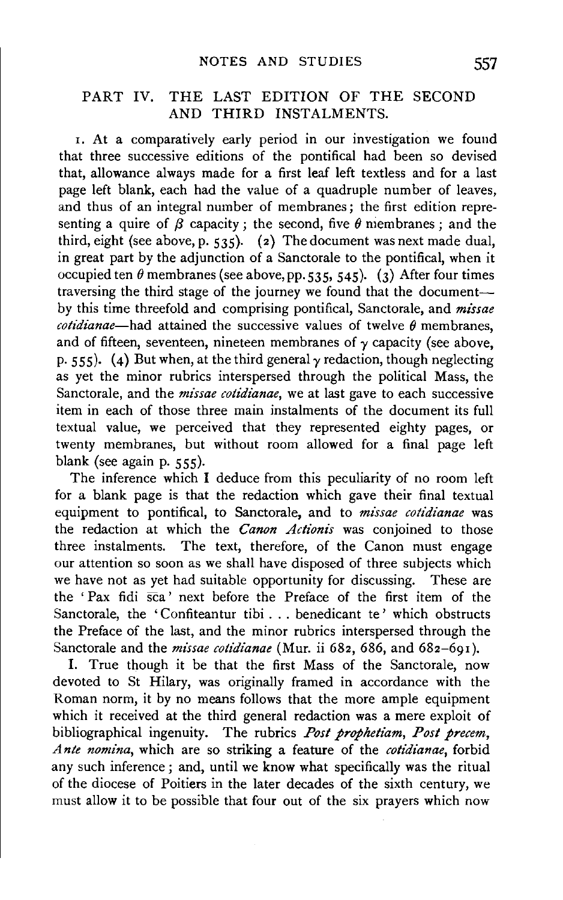# PART IV. THE LAST EDITION OF THE SECOND AND THIRD INSTALMENTS.

r. At a comparatively early period in our investigation we found that three successive editions of the pontifical had been so devised that, allowance always made for a first leaf left textless and for a last page left blank, each had the value of a quadruple number of leaves, and thus of an integral number of membranes; the first edition representing a quire of  $\beta$  capacity; the second, five  $\theta$  membranes; and the third, eight (see above, p.  $535$ ). (2) The document was next made dual, in great part by the adjunction of a Sanctorale to the pontifical, when it occupied ten  $\theta$  membranes (see above, pp. 535, 545). (3) After four times traversing the third stage of the journey we found that the documentby this time threefold and comprising pontifical, Sanctorale, and *missae cotidianae*—had attained the successive values of twelve  $\theta$  membranes, and of fifteen, seventeen, nineteen membranes of  $\gamma$  capacity (see above, p. 555). (4) But when, at the third general  $\gamma$  redaction, though neglecting as yet the minor rubrics interspersed through the political Mass, the Sanctorale, and the *missae cotidianae*, we at last gave to each successive item in each of those three main instalments of the document its full textual value, we perceived that they represented eighty pages, or twenty membranes, but without room allowed for a final page left blank (see again p. 555).

The inference which I deduce from this peculiarity of no room left for a blank page is that the redaction which gave their final textual equipment to pontifical, to Sanctorale, and to *missae cotidianae* was the redaction at which the *Canon Actionis* was conjoined to those three instalments. The text, therefore, of the Canon must engage our attention so soon as we shall have disposed of three subjects which we have not as yet had suitable opportunity for discussing. These are the 'Pax fidi  $\overline{sca}$ ' next before the Preface of the first item of the Sanctorale, the 'Confiteantur tibi . . . benedicant te' which obstructs the Preface of the last, and the minor rubrics interspersed through the Sanctorale and the *missae cotidianae* (Mur. ii 682, 686, and 682-691).

I. True though it be that the first Mass of the Sanctorale, now devoted to St Hilary, was originally framed in accordance with the Roman norm, it by no means follows that the more ample equipment which it received at the third general redaction was a mere exploit of bibliographical ingenuity. The rubrics *Post prophetiam, Post precem, Ante nomina,* which are so striking a feature of the *cotidianae,* forbid any such inference; and, until we know what specifically was the ritual of the diocese of Poitiers in the later decades of the sixth century, we must allow it to be possible that four out of the six prayers which now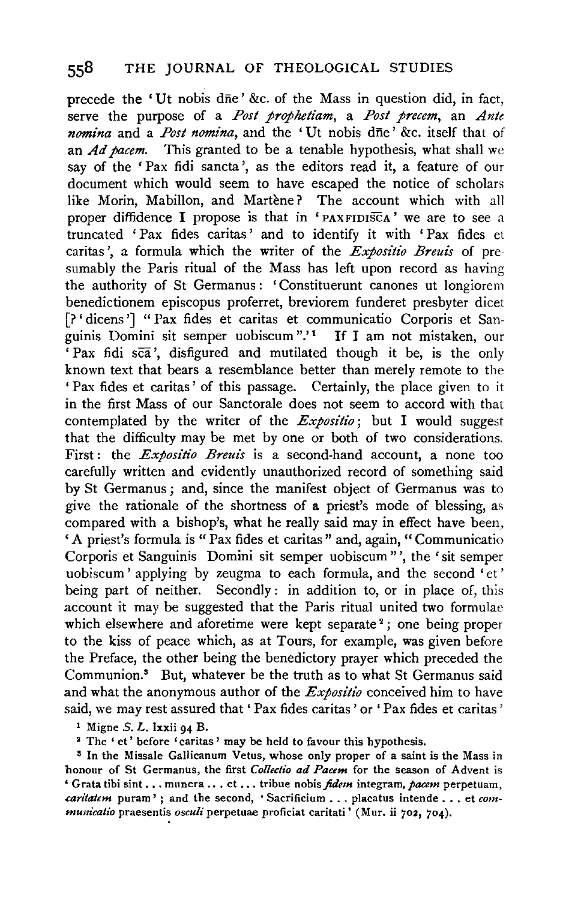precede the 'Ut nobis dne' &c. of the Mass in question did, in fact, serve the purpose of a *Post prophetiam,* a *Post precem,* an *Ante nomina* and a *Post nomina,* and the 'Ut nobis dne' &c. itself that of an *Ad pacem.* This granted to be a tenable hypothesis, what shall we say of the 'Pax fidi sancta', as the editors read it, a feature of our document which would seem to have escaped the notice of scholars like Morin, Mabillon, and Martène? The account which with all proper diffidence I propose is that in 'PAXFIDISCA' we are to see a truncated 'Pax fides caritas' and to identify it with 'Pax fides et caritas ', a formula which the writer of the *Expositio Breuis* of presumably the Paris ritual of the Mass has left upon record as having the authority of St Germanus : 'Constituerunt canones ut longiorem benedictionem episcopus proferret, breviorem funderet presbyter dicet (? ' dicens '] " Pax fides et caritas et communicatio Corporis et Sanguinis Domini sit semper uobiscum ".' 1 If I am not mistaken, our  $Pax$  fidi sca', disfigured and mutilated though it be, is the only known text that bears a resemblance better than merely remote to the 'Pax fides et caritas' of this passage. Certainly, the place given to it in the first Mass of our Sanctorale does not seem to accord with that contemplated by the writer of the *Expositio;* but I would suggest that the difficulty may be met by one or both of two considerations. First : the *Expositio Breuis* is a second-hand account, a none too carefully written and evidently unauthorized record of something said by St Germanus ; and, since the manifest object of Germanus was to give the rationale of the shortness of a priest's mode of blessing, as compared with a bishop's, what he really said may in effect have been, ' A priest's formula is " Pax fides et caritas " and, again, " Communicatio Corporis et Sanguinis Domini sit semper uobiscum "', the 'sit semper uobiscum ' applying by zeugma to each formula, and the second 'et ' being part of neither. Secondly: in addition to, or in place of, this account it may be suggested that the Paris ritual united two formulae which elsewhere and aforetime were kept separate<sup>2</sup>; one being proper to the kiss of peace which, as at Tours, for example, was given before the Preface, the other being the benedictory prayer which preceded the Communion.8 But, whatever be the truth as to what St Germanus said and what the anonymous author of the *Expositio* conceived him to have said, we may rest assured that 'Pax fides caritas' or 'Pax fides et caritas'

 $1$  Migne S. L. Ixxii 94 B.

<sup>2</sup> The 'et' before 'caritas' may be held to favour this hypothesis.

s In the Missale Gallicanum Vetus, whose only proper of a saint is the Mass in honour of St Germanus, the first *Collectio ad Pacem* for the season of Advent is ' Grata tibi sint .•. mnnera ... et •.. tribue nobis *fidem* integram, *pacem* perpetuam, *caritat€m* purarn' ; and the second, ' Sacrificium ... placatus intende ... et *communicatio* praesentis *osculi* perpetuae proficiat caritati' (Mur. ii 702, 704).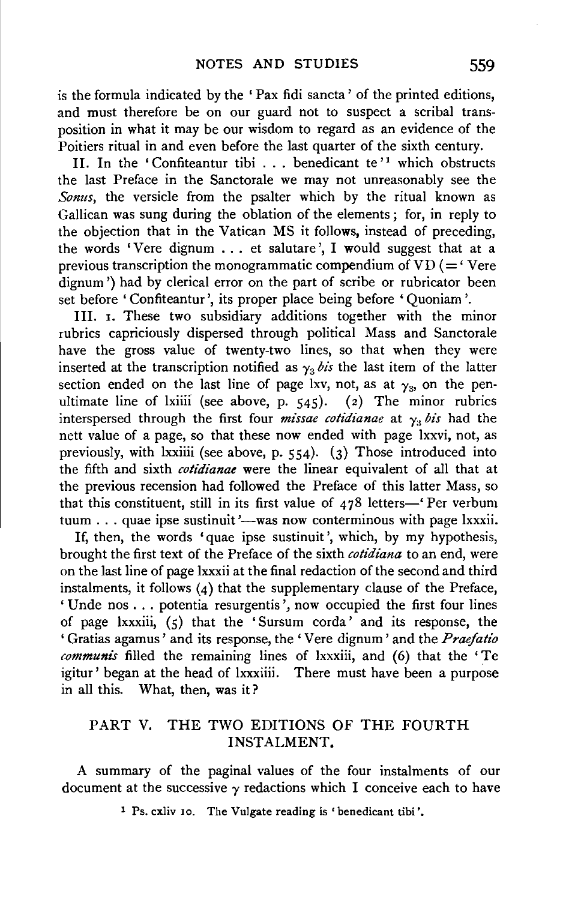is the formula indicated by the ' Pax fidi sancta ' of the printed editions, and must therefore be on our guard not to suspect a scribal transposition in what it may be our wisdom to regard as an evidence of the Poitiers ritual in and even before the last quarter of the sixth century.

II. In the 'Confiteantur tibi  $\ldots$  benedicant te'<sup>1</sup> which obstructs the last Preface in the Sanctorale we may not unreasonably see the *Sonus,* the versicle from the psalter which by the ritual known as Gallican was sung during the oblation of the elements; for, in reply to the objection that in the Vatican MS it follows, instead of preceding, the words 'Vere dignum  $\ldots$  et salutare', I would suggest that at a previous transcription the monogrammatic compendium of  $VD (= 'Vere$ dignum ') had by clerical error on the part of scribe or rubricator been set before' Confiteantur', its proper place being before' Quoniam '.

Ill. 1. These two subsidiary additions together with the minor rubrics capriciously dispersed through political Mass and Sanctorale have the gross value of twenty-two lines, so that when they were inserted at the transcription notified as  $\gamma_3$  bis the last item of the latter section ended on the last line of page lxv, not, as at  $\gamma_3$ , on the pen-<br>ultimate line of lxiiii (see above, p. 545). (2) The minor rubrics ultimate line of lxiiii (see above, p.  $545$ ). interspersed through the first four *missae cotidianae* at  $\gamma$ , *bis* had the nett value of a page, so that these now ended with page lxxvi, not, as previously, with lxxiiii (see above, p.  $554$ ). (3) Those introduced into the fifth and sixth *cotidianae* were the linear equivalent of all that at the previous recension had followed the Preface of this latter Mass, so that this constituent, still in its first value of  $478$  letters-' Per verbum tuum . . . quae ipse sustinuit '--was now conterminous with page lxxxii.

If, then, the words 'quae ipse sustinuit', which, by my hypothesis, brought the first text of the Preface of the sixth *cotidiana* to an end, were on the last line of page lxxxii at the final redaction of the second and third instalments, it follows  $(4)$  that the supplementary clause of the Preface,  $'$ Unde nos ... potentia resurgentis', now occupied the first four lines of page lxxxiii,  $(5)$  that the 'Sursum corda' and its response, the ' Gratias agamus ' and its response, the ' V ere dignum ' and the *Praefatio communis* filled the remaining lines of lxxxiii, and (6) that the 'Te igitur' began at the head of lxxxiiii. There must have been a purpose in all this. What, then, was it?

# PART V. THE TWO EDITIONS OF THE FOURTH INSTALMENT.

A summary of the paginal values of the four instalments of our document at the successive  $\gamma$  redactions which I conceive each to have

<sup>1</sup> Ps. cxliv 10. The Vulgate reading is 'benedicant tibi'.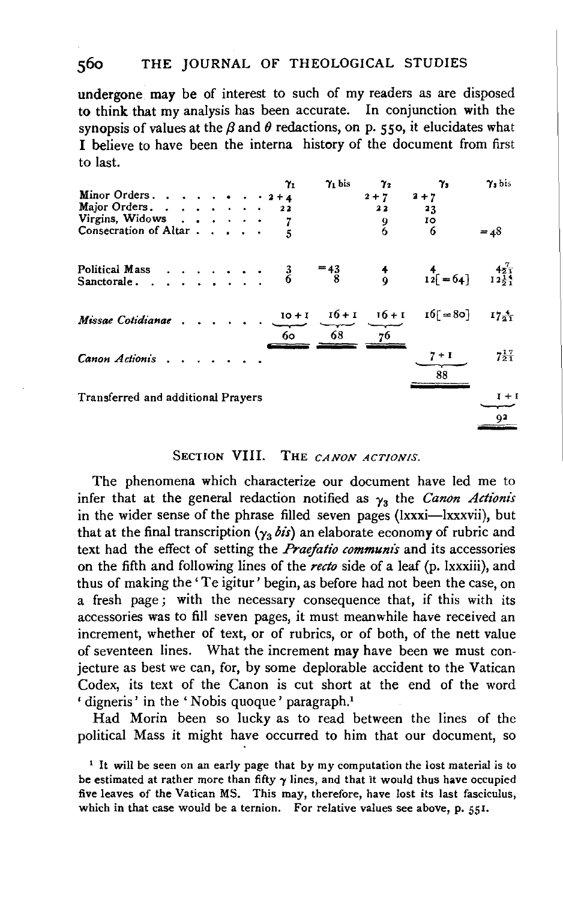#### 560 THE JOURNAL OF THEOLOGICAL STUDIES

undergone may be of interest to such of my readers as are disposed to think that my analysis has been accurate. In conjunction with the synopsis of values at the  $\beta$  and  $\theta$  redactions, on p. 550, it elucidates what I believe to have been the interna history of the document from first to last.

| Minor Orders. $2+4$                |  |  |  | $\gamma_1$ | $\gamma_1$ bis | $\gamma_{2}$<br>$2 + 7$     | $\gamma_{3}$<br>$2 + 7$ | $\gamma$ <sub>s</sub> bis               |
|------------------------------------|--|--|--|------------|----------------|-----------------------------|-------------------------|-----------------------------------------|
| Major Orders.                      |  |  |  | 22         |                | 22                          | 23                      |                                         |
| Virgins, Widows                    |  |  |  |            |                |                             | 10                      |                                         |
| Consecration of Altar              |  |  |  |            |                | $\frac{9}{6}$               | 6                       | $= 48$                                  |
| Political Mass 3<br>Sanctorale. 6  |  |  |  |            | $=$ 43         | $\frac{4}{9}$               | $\frac{4}{12}$ = 64]    | $\frac{4\overline{2}}{12\frac{1}{2}^4}$ |
| Missae Cotidianae                  |  |  |  | 60.        | 68             | $10+1$ $16+1$ $16+1$<br>76. | $16[ = 80]$             | $17\frac{4}{2}$                         |
| Canon Actionis                     |  |  |  |            |                |                             | $7+1$<br>88             | $7\frac{1}{2}$ <sup>7</sup>             |
| Transferred and additional Prayers |  |  |  |            |                |                             |                         | $I + I$                                 |
|                                    |  |  |  |            |                |                             |                         | 92                                      |

#### SECTION VIII. THE CANON ACTIONIS.

The phenomena which characterize our document have led me to infer that at the general redaction notified as  $\gamma_3$  the Canon Actionis in the wider sense of the phrase filled seven pages (lxxxi-lxxxvii), but that at the final transcription  $(\gamma_3 \, \delta \, \mathbf{i})$  an elaborate economy of rubric and text had the effect of setting the *Praefatio communis* and its accessories on the fifth and following lines of the recto side of a leaf (p. Ixxxiii), and thus of making the 'Te igitur' begin, as before had not been the case, on a fresh page; with the necessary consequence that, if this with its accessories was to fill seven pages, it must meanwhile have received an increment, whether of text, or of rubrics, or of both, of the nett value of seventeen lines. What the increment may have been we must conjecture as best we can, for, by some deplorable accident to the Vatican Codex, its text of the Canon is cut short at the end of the word 'digneris' in the 'Nobis quoque' paragraph.<sup>1</sup>

Had Morin been so lucky as to read between the lines of the political Mass it might have occurred to him that our document, so

<sup>&</sup>lt;sup>1</sup> It will be seen on an early page that by my computation the lost material is to be estimated at rather more than fifty  $\gamma$  lines, and that it would thus have occupied five leaves of the Vatican MS. This may, therefore, have lost its last fasciculus, which in that case would be a ternion. For relative values see above, p. 551.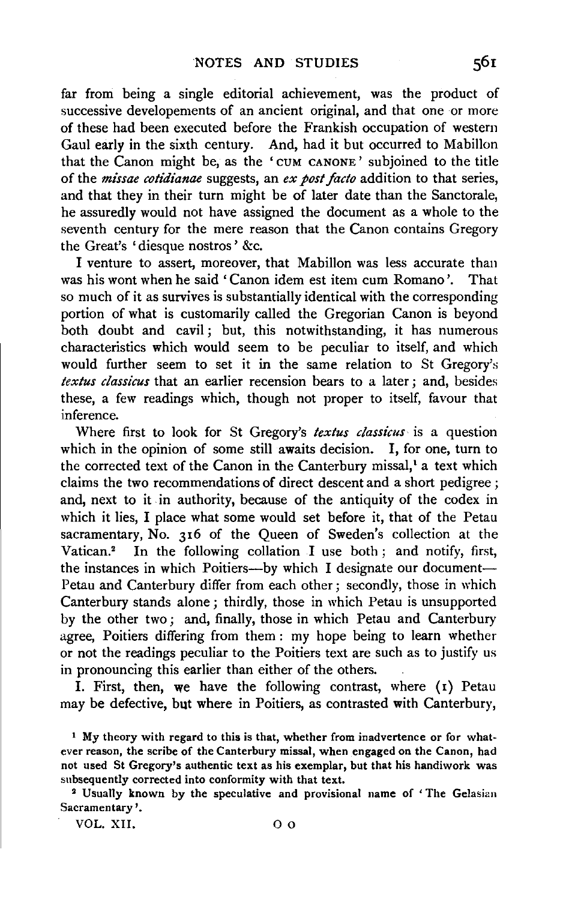far from being a single editorial achievement, was the product of successive developements of an ancient original, and that one or more of these had been executed before the Frankish occupation of western Gaul early in the sixth century. And, had it but occurred to Mabillon that the Canon might be, as the 'CUM CANONE' subjoined to the title of the *missae cotidianae* suggests, an *ex post facto* addition to that series, and that they in their turn might be of later date than the Sanctorale, he assuredly would not have assigned the document as a whole to the seventh century for the mere reason that the Canon contains Gregory the Great's 'diesque nostros ' &c.

I venture to assert, moreover, that Mabillon was less accurate than was his wont when he said 'Canon idem est item cum Romano '. That so much of it as survives is substantially identical with the corresponding portion of what is customarily called the Gregorian Canon is beyond both doubt and cavil ; but, this notwithstanding, it has numerous characteristics which would seem to be peculiar to itself, and which would further seem to set it in the same relation to St Gregory's *textus classicus* that an earlier recension bears to a later; and, besides these, a few readings which, though not proper to itself, favour that inference.

Where first to look for St Gregory's *textus classicus* is a question which in the opinion of some still awaits decision. I, for one, turn to the corrected text of the Canon in the Canterbury missal,<sup>1</sup> a text which claims the two recommendations of direct descent and a short pedigree ; and, next to it in authority, because of the antiquity of the codex in which it lies, I place what some would set before it, that of the Petau sacramentary, No. 316 of the Queen of Sweden's collection at the Vatican.2 In the following collation I use both; and notify, first, the instances in which Poitiers---by which I designate our document-Petau and Canterbury differ from each other; secondly, those in which Canterbury stands alone; thirdly, those in which Petau is unsupported by the other two ; and, finally, those in which Petau and Canterbury agree, Poitiers differing from them : my hope being to learn whether or not the readings peculiar to the Poitiers text are such as to justify us in pronouncing this earlier than either of the others.

I. First, then, we have the following contrast, where  $(1)$  Petau may be defective, but where in Poitiers, as contrasted with Canterbury,

VOL. XII. 0 o

<sup>&</sup>lt;sup>1</sup> My theory with regard to this is that, whether from inadvertence or for whatever reason, the scribe of the Canterbury missal, when engaged on the Canon, had not used St Gregory's authentic text as his exemplar, but that his handiwork was subsequently corrected into conformity with that text.

<sup>&</sup>lt;sup>2</sup> Usually known by the speculative and provisional name of 'The Gelasian Sacramentary'.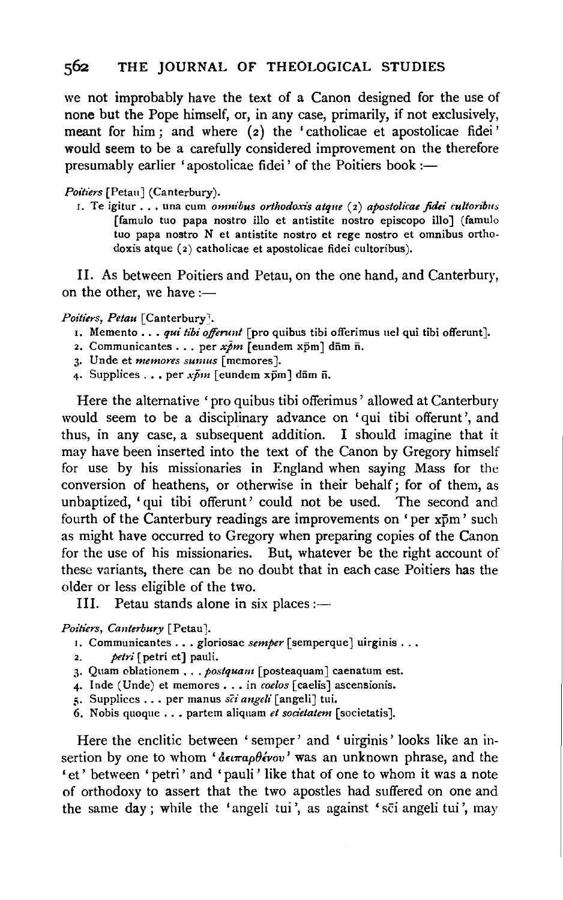we not improbably have the text of a Canon designed for the use of none but the Pope himself, or, in any case, primarily, if not exclusively, meant for him; and where (2) the 'catholicae et apostolicae fidei' would seem to be a carefully considered improvement on the therefore presumably earlier 'apostolicae fidei' of the Poitiers book :-

*Poifiers* [Petau] (Canterbury).

r. Te igitur ... una cum *omnibus orlhodoxis atque* (2) *apostolicae fidei cultorilms*  [famulo tuo papa nostro illo et antistite nostro episcopo illo] (famulo tuo papa nostro N et antistite nostro et rege nostro et omnibus ortho. doxis atque (2) catholicae et apostolicae fidei cultoribus).

II. As between Poitiers and Petau, on the one hand, and Canterbury, on the other, we have  $:=$ 

#### *Poitiers, Petau* [Canterbury<sup>]</sup>.

- 1. Memento ... *qui tibi offerunt* [pro quibus tibi offerimus uel qui tibi offerunt].
- 2. Communicantes . . . per  $x\bar{p}m$  [eundem xpm] dum n.
- 3. Unde et *memores sumus* [memores].
- 4. Supplices . . . per  $x\bar{b}m$  [eundem xpm] dnm n.

Here the alternative 'pro quibus tibi offerimus' allowed at Canterbury would seem to be a disciplinary advance on 'qui tibi offerunt ', and thus, in any case, a subsequent addition. I should imagine that it may have been inserted into the text of the Canon by Gregory himself for use by his missionaries in England when saying Mass for the conversion of heathens, or otherwise in their behalf; for of them, as unbaptized, 'qui tibi offerunt' could not be used. The second and fourth of the Canterbury readings are improvements on 'per xpm' such as might have occurred to Gregory when preparing copies of the Canon for the use of his missionaries. But, whatever be the right account of these variants, there can be no doubt that in each case Poitiers has the older or less eligible of the two.

III. Petau stands alone in six places : $-$ 

 $Points, Canterbury$  [Petau].

- 1. Communicantes . . . gloriosae *semper* [semperque] uirginis . . .
- petri [petri et] pauli.
- 3· Quam oblationem ... *postquam* [posteaquam] caenatum est.
- 4. Inde (Unde) et memores . . . in *coelos* [caelis] ascensionis.
- *:;.* Supplices ... per manus *sci angdi* [angeli] tui.
- 6. Nobis quoque . . . partem aliquam *et societatem* [societatis].

Here the enclitic between ' semper' and ' uirginis ' looks like an insertion by one to whom ' $\frac{\partial \epsilon}{\partial x} \theta \frac{\partial \epsilon}{\partial y}$ ' was an unknown phrase, and the 'et' between 'petri' and 'pauli' like that of one to whom it was a note of orthodoxy to assert that the two apostles had suffered on one and the same day; while the 'angeli tui', as against 'sci angeli tui', may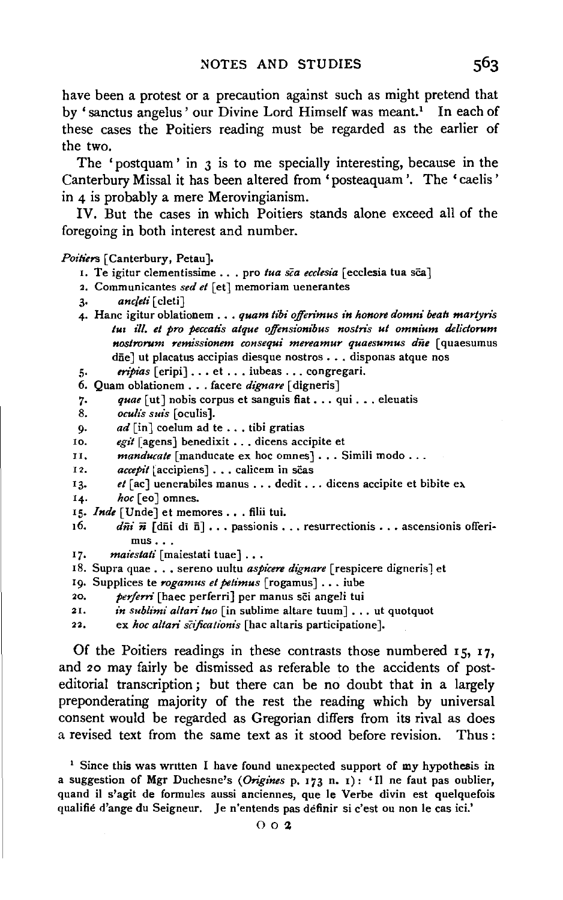have been a protest or a precaution against such as might pretend that by ' sanctus angelus' our Divine Lord Himself was meant.<sup>1</sup> In each of these cases the Poitiers reading must be regarded as the earlier of the two.

The 'postquam' in 3 is to me specially interesting, because in the Canterbury Missal it has been altered from' posteaquam '. The 'caelis' in 4 is probably a mere Merovingianism.

IV. But the cases in which Poitiers stands alone exceed all of the foregoing in both interest and number.

#### *Poitiers* [Canterbury, Petau ].

- 1. Te igitur clementissime . . . pro tua sca ecclesia [ecclesia tua sca]
- 2. Communicantes *sed et* [et] memoriam uenerantes
- 3· *ancjeti* [ cleti]
- 4· Hanc igitur oblationem ... *quam tibi ojfen'mus in honore domni beah martyns tu1 ill. et pro peccahs atque offensionibus nostn's ut omnium delictorum nostrorum remissionem consequi mereamur quaesumus diie* [ quaesumus dñe] ut placatus accipias diesque nostros . . . disponas atque nos
- 5· *enpias* [eripi] ..• et ... iubeas ... congregari.
- 6. Quam oblationem . . . facere *dignare* [digneris]
- 7. quae [ut] nobis corpus et sanguis fiat . . . qui . . . eleuatis
- 8. *oculis suis* [oculis].
- 9. *ad* [in] coelum ad te ... tibi gratias
- 10. *egit* [agens] benedixit . . dicens accipite et
- II. *manducate* [manducate ex hoc omnes] . . . Simili modo . . .
- 12. *accepit* [accipiens] . . . calicem in scas
- 13. *et* [ac] uenerabiles manus . . . dedit . . . dicens accipite et bibite ex
- 14. *hoc* [eo] omnes.
- 15. *Inde* [Unde] et memores . . . filii tui.
- 16. *dii*  $\vec{n}$  [dii di  $\vec{n}$ ]... passionis ... resurrectionis ... ascensionis offerimus ...
- 17. *maiestati* [maiestati tuae] . . .
- 18. Supra quae . . . sereno uultu *aspicere dignare* [respicere digneris] et
- 19. Supplices te *rogamus et petimus* [rogamus] .•. iube

20, *perfern'* (haec perferri] per manus sci angeli tui

- 21. *in sublimi altari tuo* [in sublime altare tuum]... ut quotquot
- 22. ex *hoc altari scificationis* [hac altaris participatione].

Of the Poitiers readings in these contrasts those numbered  $15$ ,  $17$ , and 20 may fairly be dismissed as referable to the accidents of posteditorial transcription; but there can be no doubt that in a largely preponderating majority of the rest the reading which by universal consent would be regarded as Gregorian differs from its rival as does a revised text from the same text as it stood before revision. Thus :

 $1$  Since this was written I have found unexpected support of my hypothesis in a suggestion of Mgr Duchesne's *(Origines* p. 173 n. 1): '11 ne faut pas oublier, quand il s'agit de formules aussi anciennes, que le Verbe divin est quelquefois qualifie d'ange du Seigneur. Je n'entends pas definir si c'est ou non le cas ici.'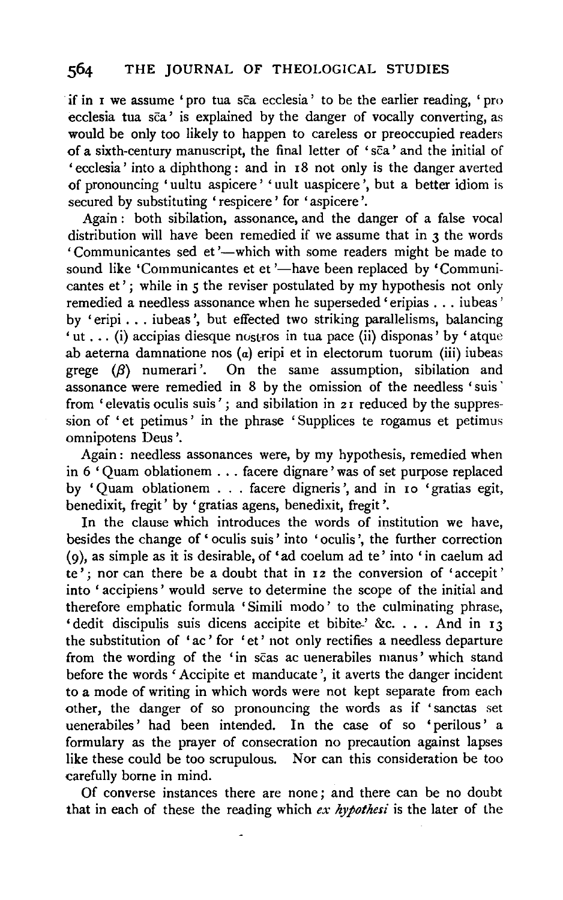if in I we assume 'pro tua sca ecclesia' to be the earlier reading, 'pro ecclesia tua  $s\bar{c}a'$  is explained by the danger of vocally converting, as would be only too likely to happen to careless or preoccupied readers of a sixth-century manuscript, the final letter of 'sca' and the initial of 'ecclesia' into a diphthong: and in I8 not only is the danger averted of pronouncing 'uultu aspicere' 'uult uaspicere ', but a better idiom is secured by substituting 'respicere' for 'aspicere'.

Again : both sibilation, assonance, and the danger of a false vocal distribution will have been remedied if we assume that in  $\alpha$  the words 'Communicantes sed et'-which with some readers might be made to sound like 'Communicantes et et '-have been replaced by 'Communicantes et'; while in *5* the reviser postulated by my hypothesis not only remedied a needless assonance when he superseded' eripias ... iubeas' by 'eripi ... iubeas ', but effected two striking parallelisms, balancing 'ut ... (i) accipias diesque nustros in tua pace (ii) disponas' by 'atque ab aeterna damnatione nos (a) eripi et in electorum tuorum (iii) iubeas grege  $(\beta)$  numerari'. On the same assumption, sibilation and On the same assumption, sibilation and assonance were remedied in 8 by the omission of the needless 'suis · from 'elevatis oculis suis'; and sibilation in 21 reduced by the suppression of 'et petimus' in the phrase 'Supplices te rogamus et petimus omnipotens Deus '.

Again : needless assonances were, by my hypothesis, remedied when in 6 ' Quam oblationem ... facere dignare ' was of set purpose replaced by 'Quam oblationem . . . facere digneris', and in 10 'gratias egit, benedixit, fregit' by 'gratias agens, benedixit, fregit'.

In the clause which introduces the words of institution we have, besides the change of ' oculis suis' into 'oculis ', the further correction (9 ), as simple as it is desirable, of 'ad coelum ad te' into 'in caelum ad te'; nor can there be a doubt that in  $I_2$  the conversion of 'accepit' into 'accipiens' would serve to determine the scope of the initial and therefore emphatic formula 'Simili modo' to the culminating phrase, 'dedit discipulis suis dicens accipite et bibite-' &c. . . . And in  $13$ the substitution of 'ac ' for 'et ' not only rectifies a needless departure from the wording of the 'in scas ac uenerabiles manus' which stand before the words 'Accipite et manducate ', it averts the danger incident to a mode of writing in which words were not kept separate from each other, the danger of so pronouncing the words as if 'sanctas set uenerabiles' had been intended. In the case of so 'perilous' a formulary as the prayer of consecration no precaution against lapses like these could be too scrupulous. Nor can this consideration be too carefully borne in mind.

Of converse instances there are none; and there can be no doubt that in each of these the reading which *ex hypothesi* is the later of the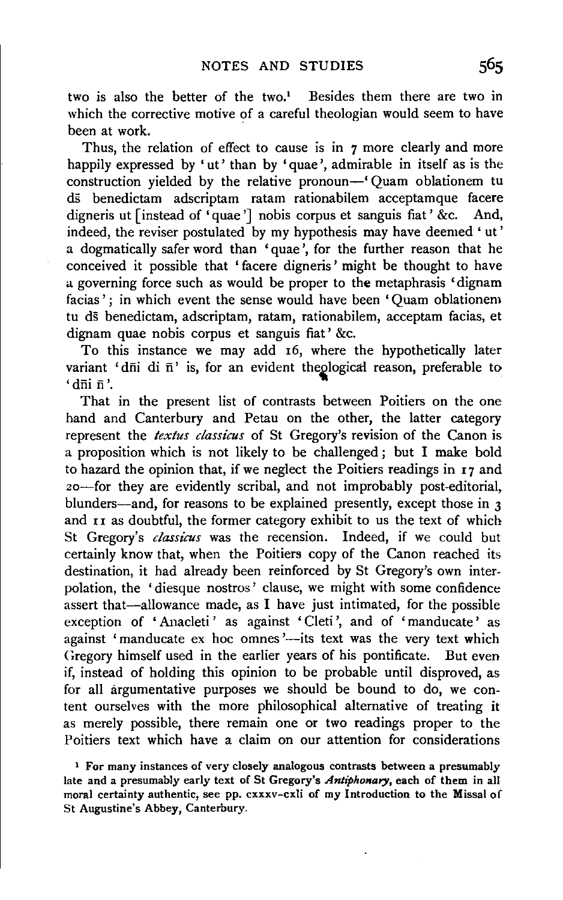two is also the better of the two.<sup>1</sup> Besides them there are two in which the corrective motive of a careful theologian would seem to have been at work.

Thus, the relation of effect to cause is in 7 more clearly and more happily expressed by 'ut' than by 'quae', admirable in itself as is the construction yielded by the relative pronoun-' Quam oblationem tu ds benedictam adscriptam ratam rationabilem acceptamque facere digneris ut [instead of 'quae'] nobis corpus et sanguis fiat ' &c. And, indeed, the reviser postulated by my hypothesis may have deemed ' ut' a dogmatically safer word than 'quae', for the further reason that he conceived it possible that 'facere digneris' might be thought to have a governing force such as would be proper to the metaphrasis ' dignam facias'; in which event the sense would have been 'Quam oblationem tu ds benedictam, adscriptam, ratam, rationabilem, acceptam facias, et dignam quae nobis corpus et sanguis fiat' &c.

To this instance we may add I6, where the hypothetically later variant 'dni di n' is, for an evident theological reason, preferable to  $'$ dni n '.

That in the present list of contrasts between Poitiers on the one hand and Canterbury and Petau on the other, the latter category represent the *textus classicus* of St Gregory's revision of the Canon is a proposition which is not likely to be challenged ; but I make bold to hazard the opinion that, if we neglect the Poitiers readings in  $I_7$  and zo-for they are evidently scribal, and not improbably post-editorial, blunders—and, for reasons to be explained presently, except those in 3 and II as doubtful, the former category exhibit to us the text of which St Gregory's *classicus* was the recension. Indeed, if we could but certainly know that, when the Poitiers copy of the Canon reached its destination, it had already been reinforced by St Gregory's own interpolation, the 'diesque nostros' clause, we might with some confidence assert that-allowance made, as I have just intimated, for the possible exception of 'Anacleti' as against 'Cleti', and of 'manducate' as against 'manducate ex hoc omnes'--- its text was the very text which Gregory himself used in the earlier years of his pontificate. But even if, instead of holding this opinion to be probable until disproved, as for all argumentative purposes we should be bound to do, we content ourselves with the more philosophical alternative of treating it as merely possible, there remain one or two readings proper to the Poitiers text which have a claim on our attention for considerations

1 For many instances of very closely analogous contrasts between a presumably late and a presumably early text of St Gregory's *Antiphonary,* each of them in all moral certainty authentic, see pp. cxxxv-cxli of my Introduction to the Missal of St Augustine's Abbey, Canterbury.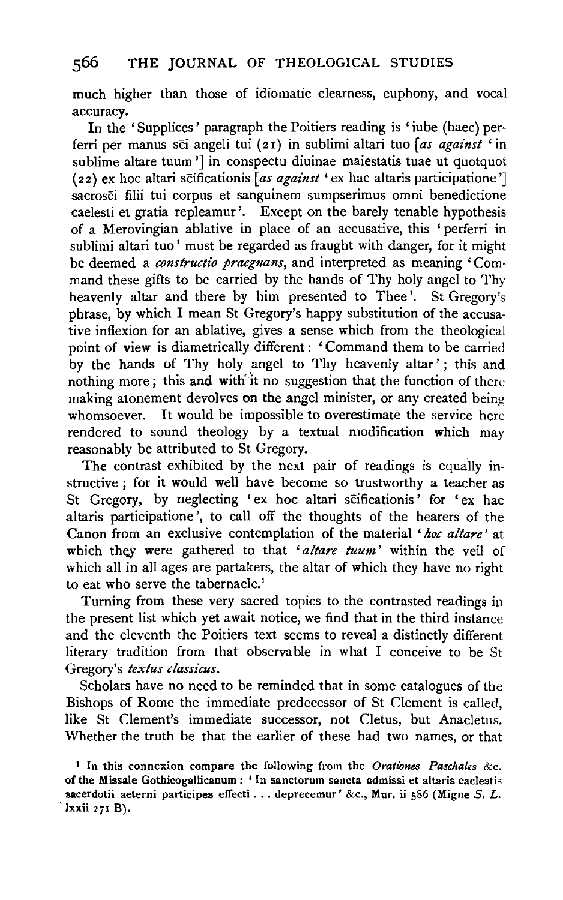much higher than those of idiomatic clearness, euphony, and vocal accuracy.

In the 'Supplices' paragraph the Poitiers reading is 'iube (haec) perferri per manus sei angeli tui ( 2 r) in sublimi altari tuo *(as against* ' in sublime altare tuum'] in conspectu diuinae maiestatis tuae ut quotquot (zz} ex hoc altari scificationis *[as against* 'ex hac altaris participatione '] sacrosci filii tui corpus et sanguinem sumpserimus omni benedictione caelesti et gratia repleamur '. Except on the barely tenable hypothesis of a Merovingian ablative in place of an accusative, this 'perferri in sublimi altari tuo' must be regarded as fraught with danger, for it might be deemed a *constructio praegnans*, and interpreted as meaning 'Command these gifts to be carried by the hands of Thy holy angel to Thy heavenly altar and there by him presented to Thee'. St Gregory's phrase, by which I mean St Gregory's happy substitution of the accusative inflexion for an ablative, gives a sense which from the theological point of view is diametrically different : ' Command them to be carried by the hands of Thy holy angel to Thy heavenly altar' ; this and nothing more; this and with it no suggestion that the function of there making atonement devolves on the angel minister, or any created being whomsoever. It would be impossible to overestimate the service here rendered to sound theology by a textual modification which may reasonably be attributed to St Gregory.

The contrast exhibited by the next pair of readings is equally instructive ; for it would well have become so trustworthy a teacher as St Gregory, by neglecting 'ex hoc altari scificationis' for 'ex hac altaris participatione ', to call off the thoughts of the hearers of the Canon from an exclusive contemplation of the material *'hoc a/tare'* at which they were gathered to that *'a/tare tuum'* within the veil of which all in all ages are partakers, the altar of which they have no right to eat who serve the tabernacle.<sup>1</sup>

Turning from these very sacred topics to the contrasted readings in the present list which yet await notice, we find that in the third instance and the eleventh the Poitiers text seems to reveal a distinctly different literary tradition from that observable in what I conceive to be St Gregory's *textus classicus.* 

Scholars have no need to be reminded that in some catalogues of the Bishops of Rome the immediate predecessor of St Clement is called, like St Clement's immediate successor, not Cletus, but Anacletus. Whether the truth be that the earlier of these had two names, or that

<sup>1</sup> In this connexion compare the following from the *Orationes Paschales* &c. ofthe Missale Gothicogallicanum: 'In sanctorum sancta admissi et altaris caelestis sacerdotii aeterni participes effecti... deprecemur' &c., Mur. ii 586 (Migne S. L. lxxii 271 B).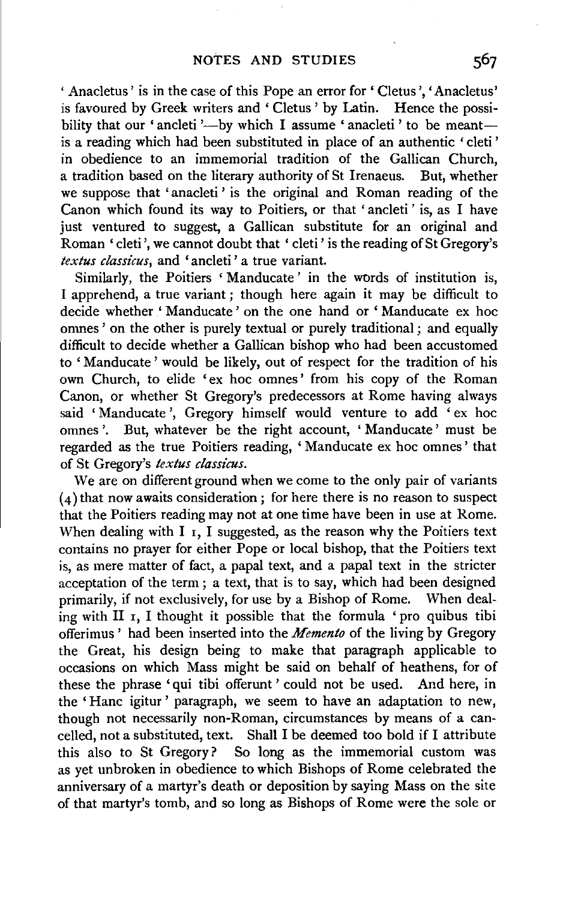'Anacletus' is in the case of this Pope an error for' Cletus ', 'Anacletus' is favoured by Greek writers and ' Cletus ' by Latin. Hence the possibility that our 'ancleti'—by which I assume 'anacleti' to be meant is a reading which had been substituted in place of an authentic ' cleti ' in obedience to an immemorial tradition of the Gallican Church, a tradition based on the literary authority of St Irenaeus. But, whether we suppose that 'anacleti' is the original and Roman reading of the Canon which found its way to Poitiers, or that 'ancleti' is, as I have just ventured to suggest, a Gallican substitute for an original and Roman 'cleti ',we cannot doubt that ' cleti' is the reading of St Gregory's *textus classicus,* and 'ancleti' a true variant.

Similarly, the Poitiers ' Manducate' in the words of institution is, I apprehend, a true variant; though here again it may be difficult to decide whether ' Manducate ' on the one hand or ' Manducate ex hoc onmes' on the other is purely textual or purely traditional; and equally difficult to decide whether a Gallican bishop who had been accustomed to ' Manducate ' would be likely, out of respect for the tradition of his own Church, to elide 'ex hoc omnes' from his copy of the Roman Canon, or whether St Gregory's predecessors at Rome having always said 'Manducate', Gregory himself would venture to add 'ex hoc omnes '. But, whatever be the right account, 'Manducate' must be regarded as the true Poitiers reading, ' Manducate ex hoc omnes' that of St Gregory's *textus classicus.* 

We are on different ground when we come to the only pair of variants (4) that now awaits consideration; for here there is no reason to suspect that the Poitiers reading may not at one time have been in use at Rome. When dealing with I  $\overline{I}$ , I suggested, as the reason why the Poitiers text contains no prayer for either Pope or local bishop, that the Poitiers text is, as mere matter of fact, a papal text, and a papal text in the stricter acceptation of the term ; a text, that is to say, which had been designed primarily, if not exclusively, for use by a Bishop of Rome. When dealing with II r, I thought it possible that the formula 'pro quibus tibi offerimus ' had been inserted into the *Memento* of the living by Gregory the Great, his design being to make that paragraph applicable to occasions on which Mass might be said on behalf of heathens, for of these the phrase 'qui tibi offerunt ' could not be used. And here, in the 'Hanc igitur ' paragraph, we seem to have an adaptation to new, though not necessarily non-Roman, circumstances by means of a cancelled, not a substituted, text. Shall I be deemed too bold if I attribute this also to St Gregory? So long as the immemorial custom was as yet unbroken in obedience to which Bishops of Rome celebrated the anniversary of a martyr's death or deposition by saying Mass on the site of that martyr's tomb, and so long as Bishops of Rome were the sole or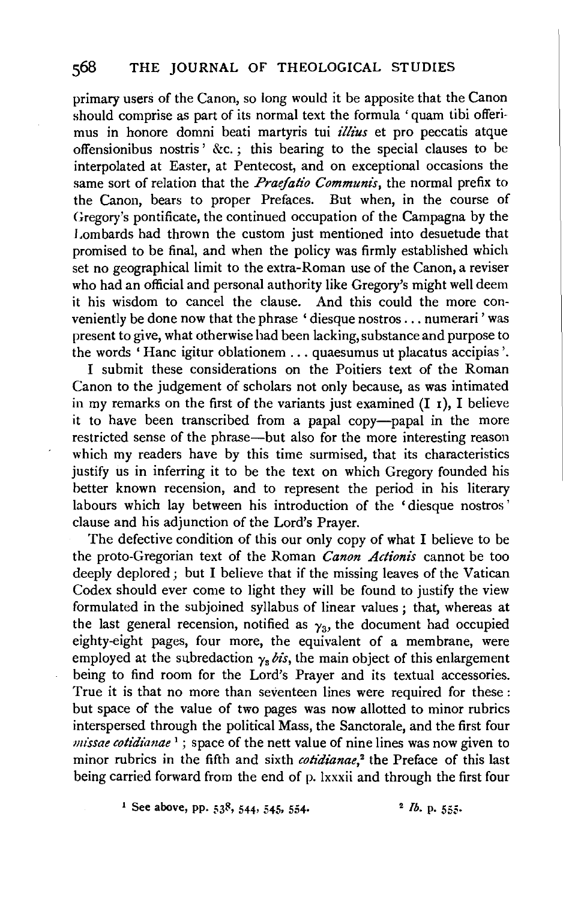primary users of the Canon, so long would it be apposite that the Canon should comprise as part of its normal text the formula 'quam tibi offerimus in honore domni beati martyris tui *illi'us* et pro peccatis atque offensionibus nostris  $x_c$ ; this bearing to the special clauses to be interpolated at Easter, at Pentecost, and on exceptional occasions the same sort of relation that the *Praefatio Communis,* the normal prefix to the Canon, bears to proper Prefaces. But when, in the course of Gregory's pontificate, the continued occupation of the Campagna by the Lombards had thrown the custom just mentioned into desuetude that promised to be final, and when the policy was firmly established which set no geographical limit to the extra-Roman use of the Canon, a reviser who had an official and personal authority like Gregory's might well deem it his wisdom to cancel the clause. And this could the more conveniently be done now that the phrase ' diesque nostros ... numerari ' was present to give, what otherwise had been lacking, substance and purpose to the words ' Hanc igitur oblationem ... quaesumus ut placatus accipias '.

I submit these considerations on the Poitiers text of the Roman Canon to the judgement of scholars not only because, as was intimated in my remarks on the first of the variants just examined  $(I_1)$ , I believe it to have been transcribed from a papal copy-papal in the more restricted sense of the phrase-but also for the more interesting reason which my readers have by this time surmised, that its characteristics justify us in inferring it to be the text on which Gregory founded his better known recension, and to represent the period in his literary labours which lay between his introduction of the 'diesque nostros' clause and his adjunction of the Lord's Prayer.

The defective condition of this our only copy of what I believe to be the proto-Gregorian text of the Roman *Canon Actionis* cannot be too deeply deplored; but I believe that if the missing leaves of the Vatican Codex should ever come to light they will be found to justify the view formulated in the subjoined syllabus of linear values ; that, whereas at the last general recension, notified as  $\gamma_3$ , the document had occupied eighty-eight pages, four more, the equivalent of a membrane, were employed at the subredaction  $\gamma_s$  *bis*, the main object of this enlargement being to find room for the Lord's Prayer and its textual accessories. True it is that no more than seventeen lines were required for these : but space of the value of two pages was now allotted to minor rubrics interspersed through the political Mass, the Sanctorale, and the first four *missae cotidianae* 1 ; space of the nett value of nine lines was now given to minor rubrics in the fifth and sixth *cotidianae*,<sup>2</sup> the Preface of this last being carried forward from the end of p. lxxxii and through the first four

<sup>1</sup> See above, pp.  $53^8$ ,  $544$ ,  $545$ ,  $554$ . <sup>2</sup> *Ib.* p.  $555$ .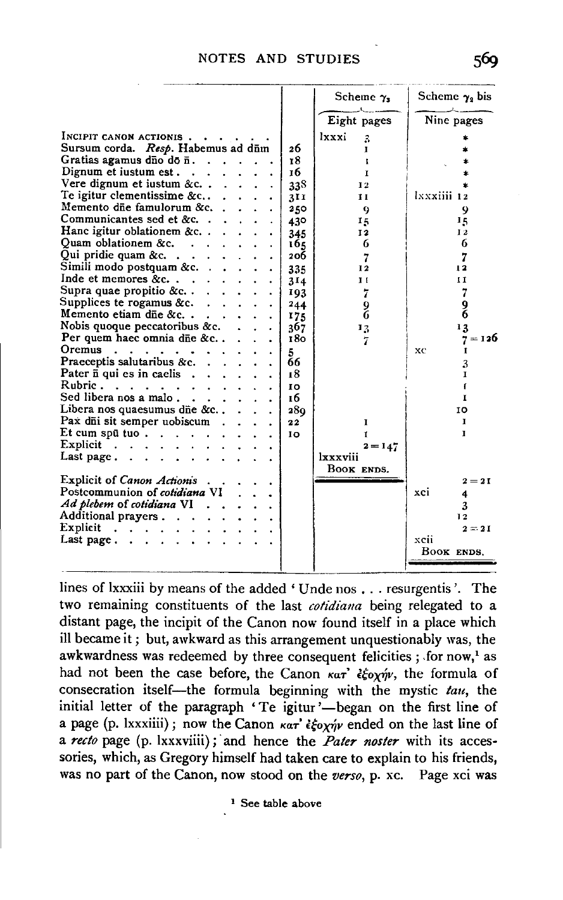| Nine pages<br>Eight pages<br>lxxxi<br>INCIPIT CANON ACTIONIS<br>$\mathbf{z}$<br>Sursum corda. Resp. Habemus ad dūm<br>26<br>I<br>Gratias agamus dīņo do $\bar{n}$<br>18<br>t<br>Dignum et iustum est<br>16<br>I<br>Vere dignum et iustum &c.<br>338<br>12                 |           |
|---------------------------------------------------------------------------------------------------------------------------------------------------------------------------------------------------------------------------------------------------------------------------|-----------|
|                                                                                                                                                                                                                                                                           |           |
|                                                                                                                                                                                                                                                                           |           |
|                                                                                                                                                                                                                                                                           |           |
|                                                                                                                                                                                                                                                                           |           |
|                                                                                                                                                                                                                                                                           |           |
|                                                                                                                                                                                                                                                                           |           |
| Te igitur clementissime $&c$<br>lxxxiiii 12<br>311<br>11                                                                                                                                                                                                                  |           |
| Memento die famulorum &c<br>250<br>9<br>9                                                                                                                                                                                                                                 |           |
| Communicantes sed et &c<br>430<br>15<br>15                                                                                                                                                                                                                                |           |
| Hanc igitur oblationem &c.<br>12<br>345<br>12                                                                                                                                                                                                                             |           |
| Quam oblationem &c.<br>$\mathbf{r}$ . The contract of the contract of the contract of the contract of the contract of the contract of the contract of the contract of the contract of the contract of the contract of the contract of the contract of th<br>6<br>6<br>165 |           |
| Qui pridie quam &c. $\ldots$ $\ldots$<br>206<br>7<br>7                                                                                                                                                                                                                    |           |
| Simili modo postquam &c<br>335<br>12<br>12                                                                                                                                                                                                                                |           |
| Inde et memores &c<br>$\mathbf{I}$<br>11<br>314                                                                                                                                                                                                                           |           |
| Supra quae propitio &c. $\cdot$ $\cdot$ $\cdot$<br>7<br>7<br>193                                                                                                                                                                                                          |           |
| Supplices te rogamus &c. $\ldots$ .<br>244                                                                                                                                                                                                                                |           |
| $\frac{9}{6}$<br>$\frac{9}{6}$<br>Memento etiam die &c. $\ldots$<br>175                                                                                                                                                                                                   |           |
| Nobis quoque peccatoribus &c.<br>367<br>13<br>13                                                                                                                                                                                                                          |           |
| Per quem haec omnia dñe &c<br>180<br>7                                                                                                                                                                                                                                    | $7 = 126$ |
| Oremus<br>the contract of the contract of the contract of the contract of the contract of the contract of the contract of the contract of the contract of the contract of the contract of the contract of the contract of the contract o<br>xc<br>t<br>5                  |           |
| Praeceptis salutaribus $\&c.$<br>66<br>3                                                                                                                                                                                                                                  |           |
| Pater $\bar{n}$ qui es in caelis $\cdots$<br>18<br>L                                                                                                                                                                                                                      |           |
| Rubric.<br>10                                                                                                                                                                                                                                                             |           |
| Sed libera nos a malo $\ldots$<br>16<br>I                                                                                                                                                                                                                                 |           |
| Libera nos quaesumus dñe &c<br>280<br>10                                                                                                                                                                                                                                  |           |
| Pax di sit semper uobiscum<br>22<br>1<br>1                                                                                                                                                                                                                                |           |
| Et cum spūtuo<br>L<br>10<br>1                                                                                                                                                                                                                                             |           |
| Explicit $\cdots$ $\cdots$ $\cdots$<br>$2 = 147$                                                                                                                                                                                                                          |           |
| Last page. $\cdots$ $\cdots$<br>lxxxviii                                                                                                                                                                                                                                  |           |
| BOOK ENDS.                                                                                                                                                                                                                                                                |           |
| <b>Explicit of Canon Actionis</b> .<br>$2 = 21$                                                                                                                                                                                                                           |           |
| Postcommunion of <i>cotidiana</i> VI<br>xci<br>4                                                                                                                                                                                                                          |           |
| Ad plebem of cotidiana VI<br>$\mathbf{r}$ . The set of $\mathbf{r}$<br>3                                                                                                                                                                                                  |           |
| Additional prayers<br>12                                                                                                                                                                                                                                                  |           |
| Explicit $\cdots$<br>$2 = 21$                                                                                                                                                                                                                                             |           |
| Last page<br>xcii                                                                                                                                                                                                                                                         |           |
| BOOK ENDS.                                                                                                                                                                                                                                                                |           |
|                                                                                                                                                                                                                                                                           |           |

lines of lxxxiii by means of the added 'Unde nos . . . resurgentis'. The two remaining constituents of the last cotidiana being relegated to a distant page, the incipit of the Canon now found itself in a place which ill became it; but, awkward as this arrangement unquestionably was, the awkwardness was redeemed by three consequent felicities; for now,<sup>1</sup> as had not been the case before, the Canon  $\kappa a \tau^2 \epsilon \xi_0 \chi \gamma \nu$ , the formula of consecration itself-the formula beginning with the mystic tau, the initial letter of the paragraph 'Te igitur'-began on the first line of a page (p. lxxxiiii); now the Canon  $\kappa a \tau^2 \epsilon \xi_0 \chi \eta \nu$  ended on the last line of a recto page (p. lxxxviiii); and hence the Pater noster with its accessories, which, as Gregory himself had taken care to explain to his friends, was no part of the Canon, now stood on the verso, p. xc. Page xci was

<sup>1</sup> See table above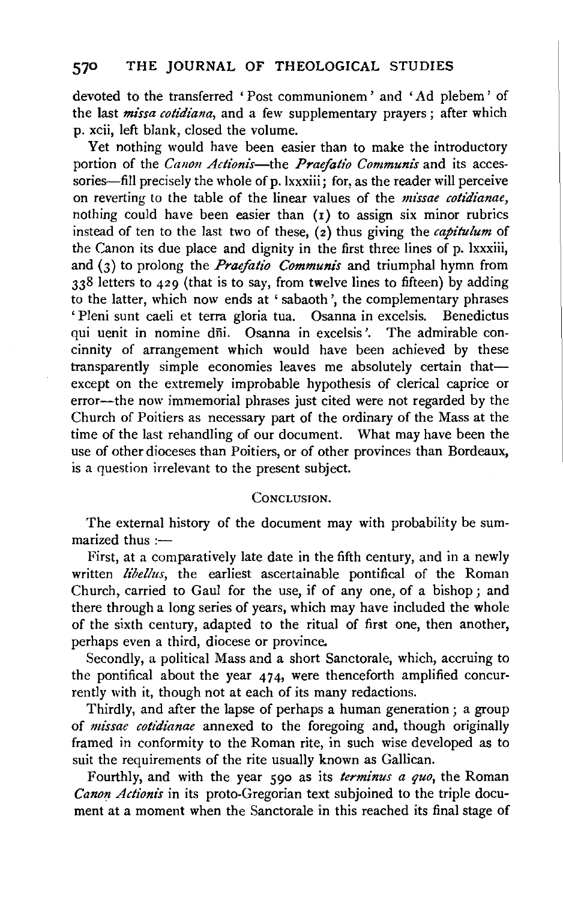devoted to the transferred ' Post communionem ' and ' Ad plebem ' of the last *missa cotidiana,* and a few supplementary prayers; after which p. xcii, left blank, closed the volume.

Yet nothing would have been easier than to make the introductory portion of the *Canon Actionis*-the *Praefatio Communis* and its accessories—fill precisely the whole of p.lxxxiii; for, as the reader will perceive on reverting to the table of the linear values of the *missae cotidianae,*  nothing could have been easier than (1) to assign six minor rubrics instead of ten to the last two of these, (2) thus giving the *capitulum* of the Canon its due place and dignity in the first three lines of p. lxxxiii, and (3) to prolong the *Praefatio Communis* and triumphal hymn from 338 letters to 429 (that is to say, from twelve lines to fifteen) by adding to the latter, which now ends at 'sabaoth ', the complementary phrases ' Pleni sunt caeli et terra gloria tua. Osanna in excelsis. Benedictus qui uenit in nomine dfii. Osanna in excelsis '. The admirable concinnity of arrangement which would have been achieved by these transparently simple economies leaves me absolutely certain thatexcept on the extremely improbable hypothesis of clerical caprice or error-the now immemorial phrases just cited were not regarded by the Church of Poitiers as necessary part of the ordinary of the Mass at the time of the last rehandling of our document. What may have been the use of other dioceses than Poitiers, or of other provinces than Bordeaux, is a question irrelevant to the present subject.

## CONCLUSION.

The external history of the document may with probability be summarized thus  $:$ ----

First, at a comparatively late date in the fifth century, and in a newly written *libellus*, the earliest ascertainable pontifical of the Roman Church, carried to Gaul for the use, if of any one, of a bishop; and there through a long series of years, which may have included the whole of the sixth century, adapted to the ritual of first one, then another, perhaps even a third, diocese or province.

Secondly, a political Mass and a short Sanctorale, which, accruing to the pontifical about the year 474, were thenceforth amplified concurrently with it, though not at each of its many redactions.

Thirdly, and after the lapse of perhaps a human generation; a group of *missae cotidianae* annexed to the foregoing and, though originally framed in conformity to the Roman rite, in such wise developed as to suit the requirements of the rite usually known as Gallican.

Fourthly, and with the year 590 as its *terminus a quo,* the Roman *Canon Actionis* in its proto-Gregorian text subjoined to the triple document at a moment when the Sanctorale in this reached its final stage of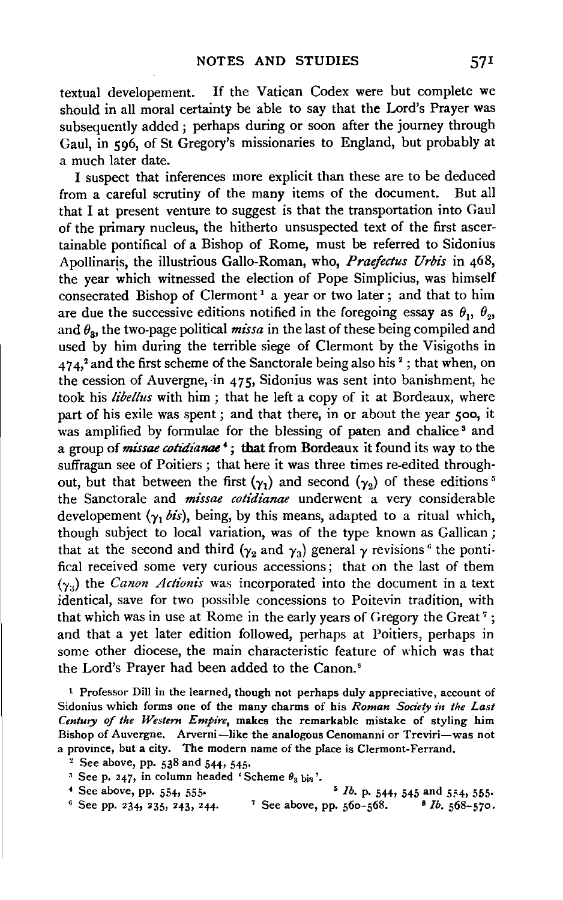textual developement. If the Vatican Codex were but complete we should in all moral certainty be able to say that the Lord's Prayer was subsequently added; perhaps during or soon after the journey through Gaul, in 596, of St Gregory's missionaries to England, but probably at a much later date.

I suspect that inferences more explicit than these are to be deduced from a careful scrutiny of the many items of the document. But all that I at present venture to suggest is that the transportation into Gaul of the primary nucleus, the hitherto unsuspected text of the first ascertainable pontifical of a Bishop of Rome, must be referred to Sidonius Apollinaris, the illustrious Gallo-Roman, who, Praefectus Urbis in 468, the year which witnessed the election of Pope Simplicius, was himself consecrated Bishop of Clermont<sup>1</sup> a year or two later; and that to him are due the successive editions notified in the foregoing essay as  $\theta_1$ ,  $\theta_2$ , and  $\theta_{3}$ , the two-page political *missa* in the last of these being compiled and used by him during the terrible siege of Clermont by the Visigoths in  $474$ ,<sup>2</sup> and the first scheme of the Sanctorale being also his<sup>2</sup>; that when, on the cession of Auvergne, in  $475$ , Sidonius was sent into banishment, he took his *libel/us* with him ; that he left a copy of it at Bordeaux, where part of his exile was spent ; and that there, in or about the year soo, it was amplified by formulae for the blessing of paten and chalice<sup>3</sup> and a group of *missae cotidianae* • ; that from Bordeaux it found its way to the suffragan see of Poitiers ; that here it was three times re-edited throughout, but that between the first  $(\gamma_1)$  and second  $(\gamma_2)$  of these editions<sup>5</sup> the Sanctorale and *missae cotidianae* underwent a very considerable developement  $(y_1 \, bis)$ , being, by this means, adapted to a ritual which, though subject to local variation, was of the type known as Gallican ; that at the second and third ( $\gamma_2$  and  $\gamma_3$ ) general  $\gamma$  revisions<sup>6</sup> the pontifical received some very curious accessions; that on the last of them  $(\gamma_3)$  the *Canon Actionis* was incorporated into the document in a text identical, save for two possible concessions to Poitevin tradition, with that which was in use at Rome in the early years of Gregory the Great<sup>7</sup>; and that a yet later edition followed, perhaps at Poitiers, perhaps in some other diocese, the main characteristic feature of which was that the Lord's Prayer had been added to the Canon. 8

1 Professor Dill in the learned, though not perhaps duly appreciative, account of Sidonius which forms one of the many charms of his *Roman Society in the Last Century of the Western Empire,* makes the remarkable mistake of styling him Bishop of Auvergne. Arverni-like the analogous Cenomanni or Treviri-was not a province, but a city. The modern name of the place is Clermont-Ferrand.<br><sup>2</sup> See above, pp. 538 and 544, 545.<br><sup>3</sup> See p. 247, in column headed 'Scheme  $\theta_3$  bis'.

- 
- <sup>4</sup> See above, pp. 554, 555. **•** *lb.* **p. 544, 545 and 554, 555.**
- <sup>6</sup> See pp. 234, 235, 243, 244. <sup>7</sup> See above, pp.  $560 568$ . 8 *Ib.*  $568 570$ .